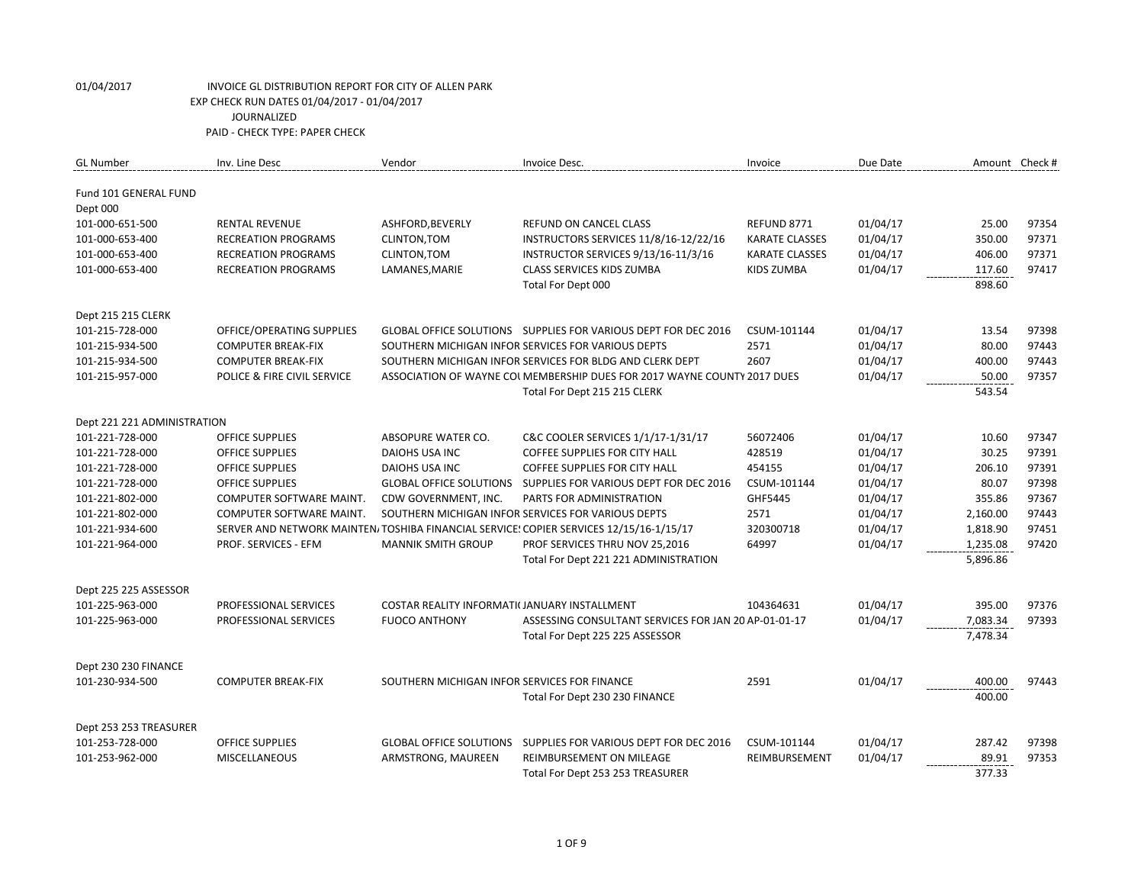| <b>GL Number</b>             | Inv. Line Desc              | Vendor                                       | Invoice Desc.                                                                           | Invoice               | Due Date | Amount Check # |       |
|------------------------------|-----------------------------|----------------------------------------------|-----------------------------------------------------------------------------------------|-----------------------|----------|----------------|-------|
| <b>Fund 101 GENERAL FUND</b> |                             |                                              |                                                                                         |                       |          |                |       |
| Dept 000                     |                             |                                              |                                                                                         |                       |          |                |       |
| 101-000-651-500              | <b>RENTAL REVENUE</b>       | ASHFORD, BEVERLY                             | REFUND ON CANCEL CLASS                                                                  | REFUND 8771           | 01/04/17 | 25.00          | 97354 |
| 101-000-653-400              | <b>RECREATION PROGRAMS</b>  | CLINTON, TOM                                 | INSTRUCTORS SERVICES 11/8/16-12/22/16                                                   | <b>KARATE CLASSES</b> | 01/04/17 | 350.00         | 97371 |
| 101-000-653-400              | <b>RECREATION PROGRAMS</b>  | CLINTON, TOM                                 | INSTRUCTOR SERVICES 9/13/16-11/3/16                                                     | <b>KARATE CLASSES</b> | 01/04/17 | 406.00         | 97371 |
| 101-000-653-400              | <b>RECREATION PROGRAMS</b>  | LAMANES, MARIE                               | <b>CLASS SERVICES KIDS ZUMBA</b>                                                        | KIDS ZUMBA            | 01/04/17 | 117.60         | 97417 |
|                              |                             |                                              | Total For Dept 000                                                                      |                       |          | 898.60         |       |
| Dept 215 215 CLERK           |                             |                                              |                                                                                         |                       |          |                |       |
| 101-215-728-000              | OFFICE/OPERATING SUPPLIES   |                                              | GLOBAL OFFICE SOLUTIONS SUPPLIES FOR VARIOUS DEPT FOR DEC 2016                          | CSUM-101144           | 01/04/17 | 13.54          | 97398 |
| 101-215-934-500              | <b>COMPUTER BREAK-FIX</b>   |                                              | SOUTHERN MICHIGAN INFOR SERVICES FOR VARIOUS DEPTS                                      | 2571                  | 01/04/17 | 80.00          | 97443 |
| 101-215-934-500              | <b>COMPUTER BREAK-FIX</b>   |                                              | SOUTHERN MICHIGAN INFOR SERVICES FOR BLDG AND CLERK DEPT                                | 2607                  | 01/04/17 | 400.00         | 97443 |
| 101-215-957-000              | POLICE & FIRE CIVIL SERVICE |                                              | ASSOCIATION OF WAYNE COLMEMBERSHIP DUES FOR 2017 WAYNE COUNTY 2017 DUES                 |                       | 01/04/17 | 50.00          | 97357 |
|                              |                             |                                              | Total For Dept 215 215 CLERK                                                            |                       |          | 543.54         |       |
| Dept 221 221 ADMINISTRATION  |                             |                                              |                                                                                         |                       |          |                |       |
| 101-221-728-000              | <b>OFFICE SUPPLIES</b>      | ABSOPURE WATER CO.                           | C&C COOLER SERVICES 1/1/17-1/31/17                                                      | 56072406              | 01/04/17 | 10.60          | 97347 |
| 101-221-728-000              | <b>OFFICE SUPPLIES</b>      | <b>DAIOHS USA INC</b>                        | <b>COFFEE SUPPLIES FOR CITY HALL</b>                                                    | 428519                | 01/04/17 | 30.25          | 97391 |
| 101-221-728-000              | <b>OFFICE SUPPLIES</b>      | DAIOHS USA INC                               | <b>COFFEE SUPPLIES FOR CITY HALL</b>                                                    | 454155                | 01/04/17 | 206.10         | 97391 |
| 101-221-728-000              | <b>OFFICE SUPPLIES</b>      | <b>GLOBAL OFFICE SOLUTIONS</b>               | SUPPLIES FOR VARIOUS DEPT FOR DEC 2016                                                  | CSUM-101144           | 01/04/17 | 80.07          | 97398 |
| 101-221-802-000              | COMPUTER SOFTWARE MAINT.    | CDW GOVERNMENT, INC.                         | PARTS FOR ADMINISTRATION                                                                | GHF5445               | 01/04/17 | 355.86         | 97367 |
| 101-221-802-000              | COMPUTER SOFTWARE MAINT.    |                                              | SOUTHERN MICHIGAN INFOR SERVICES FOR VARIOUS DEPTS                                      | 2571                  | 01/04/17 | 2,160.00       | 97443 |
| 101-221-934-600              |                             |                                              | SERVER AND NETWORK MAINTEN/ TOSHIBA FINANCIAL SERVICE: COPIER SERVICES 12/15/16-1/15/17 | 320300718             | 01/04/17 | 1,818.90       | 97451 |
| 101-221-964-000              | <b>PROF. SERVICES - EFM</b> | <b>MANNIK SMITH GROUP</b>                    | PROF SERVICES THRU NOV 25,2016                                                          | 64997                 | 01/04/17 | 1,235.08       | 97420 |
|                              |                             |                                              | Total For Dept 221 221 ADMINISTRATION                                                   |                       |          | 5,896.86       |       |
| Dept 225 225 ASSESSOR        |                             |                                              |                                                                                         |                       |          |                |       |
| 101-225-963-000              | PROFESSIONAL SERVICES       | COSTAR REALITY INFORMATI(JANUARY INSTALLMENT |                                                                                         | 104364631             | 01/04/17 | 395.00         | 97376 |
| 101-225-963-000              | PROFESSIONAL SERVICES       | <b>FUOCO ANTHONY</b>                         | ASSESSING CONSULTANT SERVICES FOR JAN 20 AP-01-01-17                                    |                       | 01/04/17 | 7,083.34       | 97393 |
|                              |                             |                                              | Total For Dept 225 225 ASSESSOR                                                         |                       |          | 7,478.34       |       |
| Dept 230 230 FINANCE         |                             |                                              |                                                                                         |                       |          |                |       |
| 101-230-934-500              | <b>COMPUTER BREAK-FIX</b>   | SOUTHERN MICHIGAN INFOR SERVICES FOR FINANCE |                                                                                         | 2591                  | 01/04/17 | 400.00         | 97443 |
|                              |                             |                                              | Total For Dept 230 230 FINANCE                                                          |                       |          | 400.00         |       |
| Dept 253 253 TREASURER       |                             |                                              |                                                                                         |                       |          |                |       |
| 101-253-728-000              | <b>OFFICE SUPPLIES</b>      | <b>GLOBAL OFFICE SOLUTIONS</b>               | SUPPLIES FOR VARIOUS DEPT FOR DEC 2016                                                  | CSUM-101144           | 01/04/17 | 287.42         | 97398 |
| 101-253-962-000              | <b>MISCELLANEOUS</b>        | ARMSTRONG, MAUREEN                           | REIMBURSEMENT ON MILEAGE                                                                | REIMBURSEMENT         | 01/04/17 | 89.91          | 97353 |
|                              |                             |                                              | Total For Dept 253 253 TREASURER                                                        |                       |          | 377.33         |       |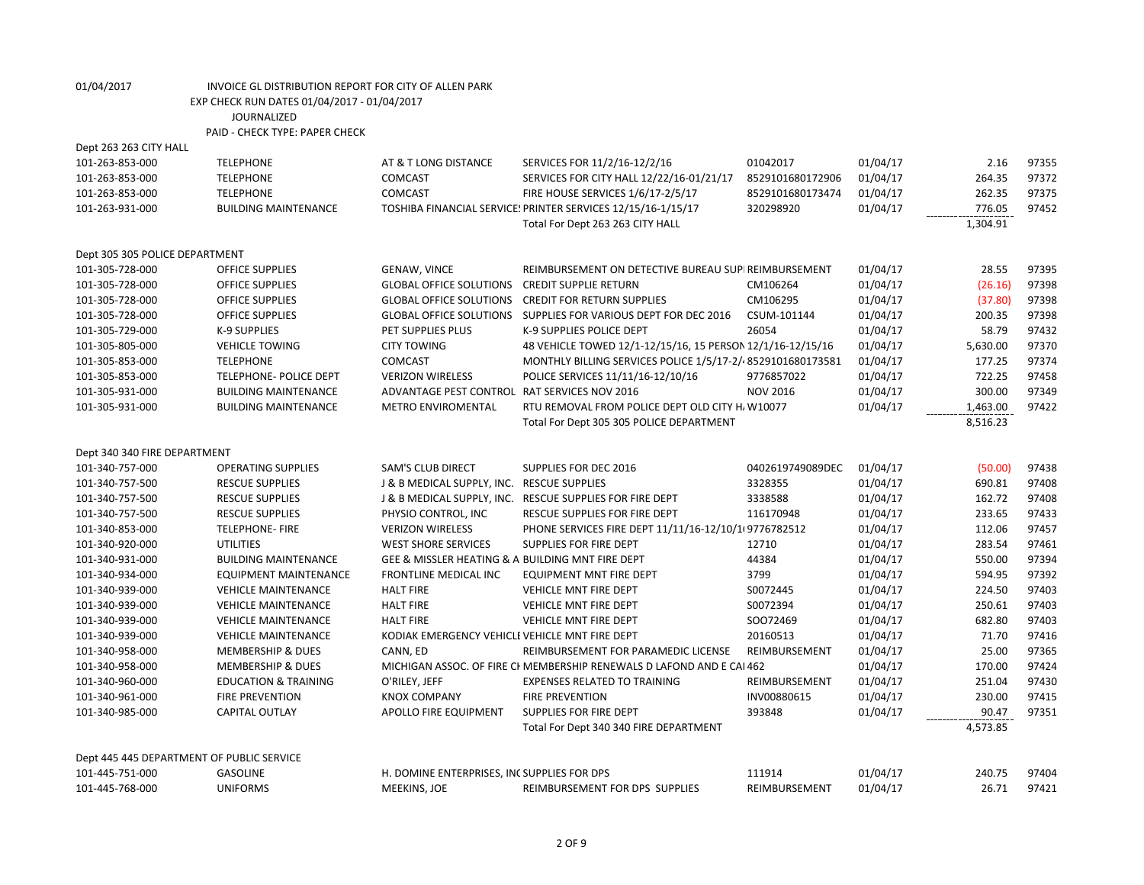| Dept 263 263 CITY HALL                    |                                 |                                                  |                                                                       |                  |          |          |       |
|-------------------------------------------|---------------------------------|--------------------------------------------------|-----------------------------------------------------------------------|------------------|----------|----------|-------|
| 101-263-853-000                           | <b>TELEPHONE</b>                | AT & T LONG DISTANCE                             | SERVICES FOR 11/2/16-12/2/16                                          | 01042017         | 01/04/17 | 2.16     | 97355 |
| 101-263-853-000                           | <b>TELEPHONE</b>                | <b>COMCAST</b>                                   | SERVICES FOR CITY HALL 12/22/16-01/21/17                              | 8529101680172906 | 01/04/17 | 264.35   | 97372 |
| 101-263-853-000                           | <b>TELEPHONE</b>                | COMCAST                                          | FIRE HOUSE SERVICES 1/6/17-2/5/17                                     | 8529101680173474 | 01/04/17 | 262.35   | 97375 |
| 101-263-931-000                           | <b>BUILDING MAINTENANCE</b>     |                                                  | TOSHIBA FINANCIAL SERVICE: PRINTER SERVICES 12/15/16-1/15/17          | 320298920        | 01/04/17 | 776.05   | 97452 |
|                                           |                                 |                                                  | Total For Dept 263 263 CITY HALL                                      |                  |          | 1,304.91 |       |
| Dept 305 305 POLICE DEPARTMENT            |                                 |                                                  |                                                                       |                  |          |          |       |
| 101-305-728-000                           | <b>OFFICE SUPPLIES</b>          | <b>GENAW, VINCE</b>                              | REIMBURSEMENT ON DETECTIVE BUREAU SUPI REIMBURSEMENT                  |                  | 01/04/17 | 28.55    | 97395 |
| 101-305-728-000                           | <b>OFFICE SUPPLIES</b>          | <b>GLOBAL OFFICE SOLUTIONS</b>                   | <b>CREDIT SUPPLIE RETURN</b>                                          | CM106264         | 01/04/17 | (26.16)  | 97398 |
| 101-305-728-000                           | OFFICE SUPPLIES                 | <b>GLOBAL OFFICE SOLUTIONS</b>                   | <b>CREDIT FOR RETURN SUPPLIES</b>                                     | CM106295         | 01/04/17 | (37.80)  | 97398 |
| 101-305-728-000                           | <b>OFFICE SUPPLIES</b>          |                                                  | GLOBAL OFFICE SOLUTIONS SUPPLIES FOR VARIOUS DEPT FOR DEC 2016        | CSUM-101144      | 01/04/17 | 200.35   | 97398 |
| 101-305-729-000                           | K-9 SUPPLIES                    | PET SUPPLIES PLUS                                | K-9 SUPPLIES POLICE DEPT                                              | 26054            | 01/04/17 | 58.79    | 97432 |
| 101-305-805-000                           | <b>VEHICLE TOWING</b>           | <b>CITY TOWING</b>                               | 48 VEHICLE TOWED 12/1-12/15/16, 15 PERSON 12/1/16-12/15/16            |                  | 01/04/17 | 5,630.00 | 97370 |
| 101-305-853-000                           | <b>TELEPHONE</b>                | <b>COMCAST</b>                                   | MONTHLY BILLING SERVICES POLICE 1/5/17-2/48529101680173581            |                  | 01/04/17 | 177.25   | 97374 |
| 101-305-853-000                           | TELEPHONE- POLICE DEPT          | <b>VERIZON WIRELESS</b>                          | POLICE SERVICES 11/11/16-12/10/16                                     | 9776857022       | 01/04/17 | 722.25   | 97458 |
| 101-305-931-000                           | <b>BUILDING MAINTENANCE</b>     | ADVANTAGE PEST CONTROL RAT SERVICES NOV 2016     |                                                                       | <b>NOV 2016</b>  | 01/04/17 | 300.00   | 97349 |
| 101-305-931-000                           | <b>BUILDING MAINTENANCE</b>     | METRO ENVIROMENTAL                               | RTU REMOVAL FROM POLICE DEPT OLD CITY H, W10077                       |                  | 01/04/17 | 1,463.00 | 97422 |
|                                           |                                 |                                                  | Total For Dept 305 305 POLICE DEPARTMENT                              |                  |          | 8,516.23 |       |
| Dept 340 340 FIRE DEPARTMENT              |                                 |                                                  |                                                                       |                  |          |          |       |
| 101-340-757-000                           | <b>OPERATING SUPPLIES</b>       | <b>SAM'S CLUB DIRECT</b>                         | SUPPLIES FOR DEC 2016                                                 | 0402619749089DEC | 01/04/17 | (50.00)  | 97438 |
| 101-340-757-500                           | <b>RESCUE SUPPLIES</b>          | J & B MEDICAL SUPPLY, INC. RESCUE SUPPLIES       |                                                                       | 3328355          | 01/04/17 | 690.81   | 97408 |
| 101-340-757-500                           | <b>RESCUE SUPPLIES</b>          |                                                  | J & B MEDICAL SUPPLY, INC. RESCUE SUPPLIES FOR FIRE DEPT              | 3338588          | 01/04/17 | 162.72   | 97408 |
| 101-340-757-500                           | <b>RESCUE SUPPLIES</b>          | PHYSIO CONTROL, INC                              | RESCUE SUPPLIES FOR FIRE DEPT                                         | 116170948        | 01/04/17 | 233.65   | 97433 |
| 101-340-853-000                           | <b>TELEPHONE-FIRE</b>           | <b>VERIZON WIRELESS</b>                          | PHONE SERVICES FIRE DEPT 11/11/16-12/10/109776782512                  |                  | 01/04/17 | 112.06   | 97457 |
| 101-340-920-000                           | <b>UTILITIES</b>                | <b>WEST SHORE SERVICES</b>                       | <b>SUPPLIES FOR FIRE DEPT</b>                                         | 12710            | 01/04/17 | 283.54   | 97461 |
| 101-340-931-000                           | <b>BUILDING MAINTENANCE</b>     | GEE & MISSLER HEATING & A BUILDING MNT FIRE DEPT |                                                                       | 44384            | 01/04/17 | 550.00   | 97394 |
| 101-340-934-000                           | <b>EQUIPMENT MAINTENANCE</b>    | <b>FRONTLINE MEDICAL INC</b>                     | <b>EQUIPMENT MNT FIRE DEPT</b>                                        | 3799             | 01/04/17 | 594.95   | 97392 |
| 101-340-939-000                           | <b>VEHICLE MAINTENANCE</b>      | <b>HALT FIRE</b>                                 | <b>VEHICLE MNT FIRE DEPT</b>                                          | S0072445         | 01/04/17 | 224.50   | 97403 |
| 101-340-939-000                           | <b>VEHICLE MAINTENANCE</b>      | <b>HALT FIRE</b>                                 | VEHICLE MNT FIRE DEPT                                                 | S0072394         | 01/04/17 | 250.61   | 97403 |
| 101-340-939-000                           | <b>VEHICLE MAINTENANCE</b>      | <b>HALT FIRE</b>                                 | <b>VEHICLE MNT FIRE DEPT</b>                                          | SO072469         | 01/04/17 | 682.80   | 97403 |
| 101-340-939-000                           | <b>VEHICLE MAINTENANCE</b>      | KODIAK EMERGENCY VEHICLE VEHICLE MNT FIRE DEPT   |                                                                       | 20160513         | 01/04/17 | 71.70    | 97416 |
| 101-340-958-000                           | <b>MEMBERSHIP &amp; DUES</b>    | CANN, ED                                         | REIMBURSEMENT FOR PARAMEDIC LICENSE                                   | REIMBURSEMENT    | 01/04/17 | 25.00    | 97365 |
| 101-340-958-000                           | <b>MEMBERSHIP &amp; DUES</b>    |                                                  | MICHIGAN ASSOC. OF FIRE CI MEMBERSHIP RENEWALS D LAFOND AND E CAI 462 |                  | 01/04/17 | 170.00   | 97424 |
| 101-340-960-000                           | <b>EDUCATION &amp; TRAINING</b> | O'RILEY, JEFF                                    | <b>EXPENSES RELATED TO TRAINING</b>                                   | REIMBURSEMENT    | 01/04/17 | 251.04   | 97430 |
| 101-340-961-000                           | <b>FIRE PREVENTION</b>          | <b>KNOX COMPANY</b>                              | <b>FIRE PREVENTION</b>                                                | INV00880615      | 01/04/17 | 230.00   | 97415 |
| 101-340-985-000                           | CAPITAL OUTLAY                  | APOLLO FIRE EQUIPMENT                            | <b>SUPPLIES FOR FIRE DEPT</b>                                         | 393848           | 01/04/17 | 90.47    | 97351 |
|                                           |                                 |                                                  | Total For Dept 340 340 FIRE DEPARTMENT                                |                  |          | 4,573.85 |       |
| Dept 445 445 DEPARTMENT OF PUBLIC SERVICE |                                 |                                                  |                                                                       |                  |          |          |       |
| 101-445-751-000                           | <b>GASOLINE</b>                 | H. DOMINE ENTERPRISES, INC SUPPLIES FOR DPS      |                                                                       | 111914           | 01/04/17 | 240.75   | 97404 |
| 101-445-768-000                           | <b>UNIFORMS</b>                 | MEEKINS, JOE                                     | REIMBURSEMENT FOR DPS SUPPLIES                                        | REIMBURSEMENT    | 01/04/17 | 26.71    | 97421 |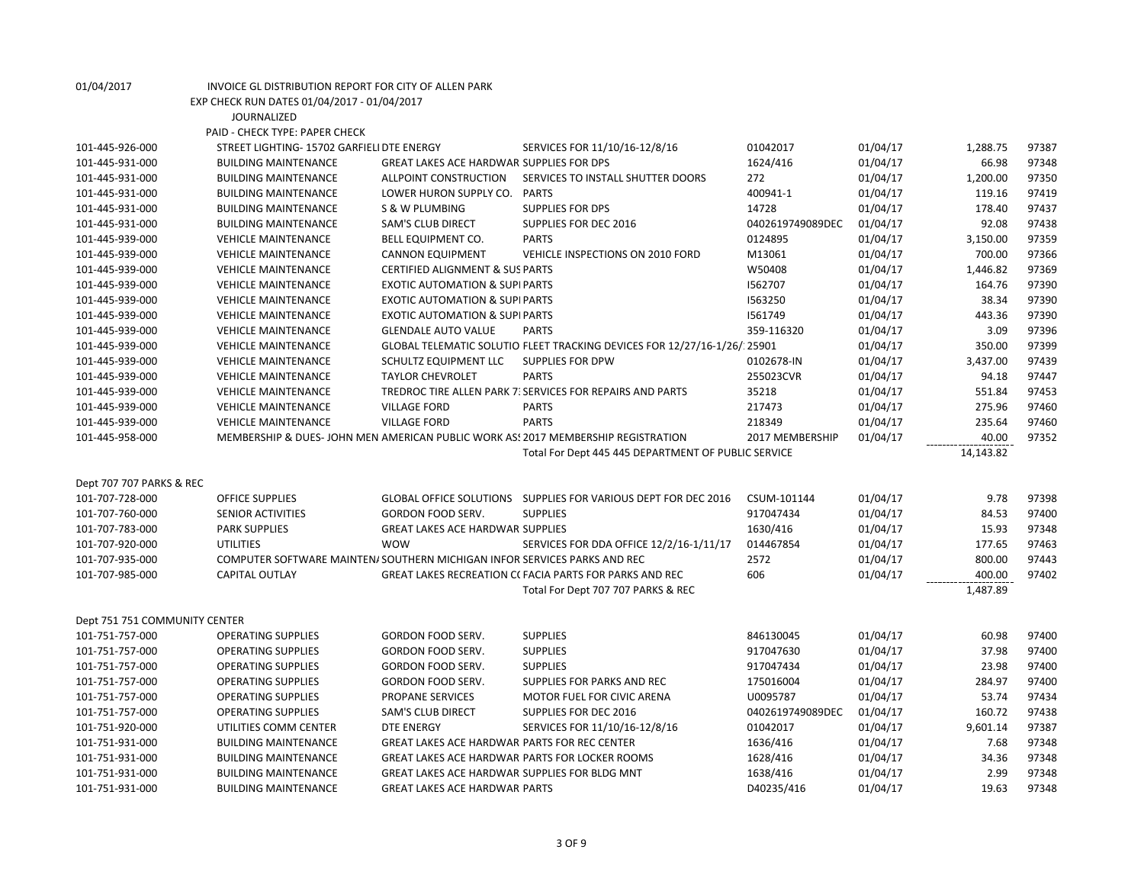| 01/04/2017                    | INVOICE GL DISTRIBUTION REPORT FOR CITY OF ALLEN PARK |                                                                           |                                                                                  |                  |                      |                |                |
|-------------------------------|-------------------------------------------------------|---------------------------------------------------------------------------|----------------------------------------------------------------------------------|------------------|----------------------|----------------|----------------|
|                               | EXP CHECK RUN DATES 01/04/2017 - 01/04/2017           |                                                                           |                                                                                  |                  |                      |                |                |
|                               | <b>JOURNALIZED</b>                                    |                                                                           |                                                                                  |                  |                      |                |                |
|                               | PAID - CHECK TYPE: PAPER CHECK                        |                                                                           |                                                                                  |                  |                      |                |                |
| 101-445-926-000               | STREET LIGHTING- 15702 GARFIELI DTE ENERGY            |                                                                           | SERVICES FOR 11/10/16-12/8/16                                                    | 01042017         | 01/04/17             | 1,288.75       | 97387          |
| 101-445-931-000               | <b>BUILDING MAINTENANCE</b>                           | <b>GREAT LAKES ACE HARDWAR SUPPLIES FOR DPS</b>                           |                                                                                  | 1624/416         | 01/04/17             | 66.98          | 97348          |
| 101-445-931-000               | <b>BUILDING MAINTENANCE</b>                           | ALLPOINT CONSTRUCTION                                                     | SERVICES TO INSTALL SHUTTER DOORS                                                | 272              | 01/04/17             | 1,200.00       | 97350          |
| 101-445-931-000               | <b>BUILDING MAINTENANCE</b>                           | LOWER HURON SUPPLY CO. PARTS                                              |                                                                                  | 400941-1         | 01/04/17             | 119.16         | 97419          |
| 101-445-931-000               | <b>BUILDING MAINTENANCE</b>                           | S & W PLUMBING                                                            | <b>SUPPLIES FOR DPS</b>                                                          | 14728            | 01/04/17             | 178.40         | 97437          |
| 101-445-931-000               | <b>BUILDING MAINTENANCE</b>                           | SAM'S CLUB DIRECT                                                         | SUPPLIES FOR DEC 2016                                                            | 0402619749089DEC | 01/04/17             | 92.08          | 97438          |
| 101-445-939-000               | <b>VEHICLE MAINTENANCE</b>                            | BELL EQUIPMENT CO.                                                        | <b>PARTS</b>                                                                     | 0124895          | 01/04/17             | 3,150.00       | 97359          |
| 101-445-939-000               | <b>VEHICLE MAINTENANCE</b>                            | <b>CANNON EQUIPMENT</b>                                                   | VEHICLE INSPECTIONS ON 2010 FORD                                                 | M13061           | 01/04/17             | 700.00         | 97366          |
| 101-445-939-000               | <b>VEHICLE MAINTENANCE</b>                            | CERTIFIED ALIGNMENT & SUS PARTS                                           |                                                                                  | W50408           | 01/04/17             | 1,446.82       | 97369          |
| 101-445-939-000               | <b>VEHICLE MAINTENANCE</b>                            | <b>EXOTIC AUTOMATION &amp; SUPIPARTS</b>                                  |                                                                                  | 1562707          | 01/04/17             | 164.76         | 97390          |
| 101-445-939-000               | <b>VEHICLE MAINTENANCE</b>                            | <b>EXOTIC AUTOMATION &amp; SUPIPARTS</b>                                  |                                                                                  | 1563250          | 01/04/17             | 38.34          | 97390          |
| 101-445-939-000               | <b>VEHICLE MAINTENANCE</b>                            | <b>EXOTIC AUTOMATION &amp; SUPIPARTS</b>                                  |                                                                                  | 1561749          | 01/04/17             | 443.36         | 97390          |
| 101-445-939-000               | <b>VEHICLE MAINTENANCE</b>                            | <b>GLENDALE AUTO VALUE</b>                                                | <b>PARTS</b>                                                                     | 359-116320       | 01/04/17             | 3.09           | 97396          |
| 101-445-939-000               | <b>VEHICLE MAINTENANCE</b>                            |                                                                           | GLOBAL TELEMATIC SOLUTIO FLEET TRACKING DEVICES FOR 12/27/16-1/26/ 25901         |                  | 01/04/17             | 350.00         | 97399          |
| 101-445-939-000               | <b>VEHICLE MAINTENANCE</b>                            | <b>SCHULTZ EQUIPMENT LLC</b>                                              | <b>SUPPLIES FOR DPW</b>                                                          | 0102678-IN       | 01/04/17             | 3,437.00       | 97439          |
| 101-445-939-000               | <b>VEHICLE MAINTENANCE</b>                            | <b>TAYLOR CHEVROLET</b>                                                   | <b>PARTS</b>                                                                     | 255023CVR        | 01/04/17             | 94.18          | 97447          |
| 101-445-939-000               | <b>VEHICLE MAINTENANCE</b>                            |                                                                           | TREDROC TIRE ALLEN PARK 7: SERVICES FOR REPAIRS AND PARTS                        | 35218            | 01/04/17             | 551.84         | 97453          |
| 101-445-939-000               | <b>VEHICLE MAINTENANCE</b>                            | <b>VILLAGE FORD</b>                                                       | <b>PARTS</b>                                                                     | 217473           | 01/04/17             | 275.96         | 97460          |
| 101-445-939-000               | <b>VEHICLE MAINTENANCE</b>                            | <b>VILLAGE FORD</b>                                                       | <b>PARTS</b>                                                                     | 218349           | 01/04/17             | 235.64         | 97460          |
| 101-445-958-000               |                                                       |                                                                           | MEMBERSHIP & DUES-JOHN MEN AMERICAN PUBLIC WORK AS! 2017 MEMBERSHIP REGISTRATION | 2017 MEMBERSHIP  | 01/04/17             | 40.00          | 97352          |
|                               |                                                       |                                                                           | Total For Dept 445 445 DEPARTMENT OF PUBLIC SERVICE                              |                  |                      | 14,143.82      |                |
|                               |                                                       |                                                                           |                                                                                  |                  |                      |                |                |
| Dept 707 707 PARKS & REC      |                                                       |                                                                           |                                                                                  |                  |                      |                |                |
| 101-707-728-000               | <b>OFFICE SUPPLIES</b>                                |                                                                           | GLOBAL OFFICE SOLUTIONS SUPPLIES FOR VARIOUS DEPT FOR DEC 2016                   | CSUM-101144      | 01/04/17             | 9.78           | 97398          |
| 101-707-760-000               | <b>SENIOR ACTIVITIES</b>                              | GORDON FOOD SERV.                                                         | <b>SUPPLIES</b>                                                                  | 917047434        | 01/04/17             | 84.53          | 97400          |
| 101-707-783-000               | <b>PARK SUPPLIES</b>                                  | <b>GREAT LAKES ACE HARDWAR SUPPLIES</b>                                   |                                                                                  | 1630/416         | 01/04/17             | 15.93          | 97348          |
| 101-707-920-000               | <b>UTILITIES</b>                                      | <b>WOW</b>                                                                | SERVICES FOR DDA OFFICE 12/2/16-1/11/17                                          | 014467854        | 01/04/17             | 177.65         | 97463          |
| 101-707-935-000               |                                                       | COMPUTER SOFTWARE MAINTEN/ SOUTHERN MICHIGAN INFOR SERVICES PARKS AND REC |                                                                                  | 2572             | 01/04/17             | 800.00         | 97443          |
| 101-707-985-000               | <b>CAPITAL OUTLAY</b>                                 |                                                                           | GREAT LAKES RECREATION C(FACIA PARTS FOR PARKS AND REC                           | 606              | 01/04/17             | 400.00         | 97402          |
|                               |                                                       |                                                                           | Total For Dept 707 707 PARKS & REC                                               |                  |                      | 1,487.89       |                |
|                               |                                                       |                                                                           |                                                                                  |                  |                      |                |                |
| Dept 751 751 COMMUNITY CENTER |                                                       |                                                                           |                                                                                  |                  |                      | 60.98          |                |
| 101-751-757-000               | <b>OPERATING SUPPLIES</b>                             | GORDON FOOD SERV.                                                         | <b>SUPPLIES</b>                                                                  | 846130045        | 01/04/17             |                | 97400          |
| 101-751-757-000               | <b>OPERATING SUPPLIES</b>                             | GORDON FOOD SERV.                                                         | <b>SUPPLIES</b><br><b>SUPPLIES</b>                                               | 917047630        | 01/04/17<br>01/04/17 | 37.98<br>23.98 | 97400<br>97400 |
| 101-751-757-000               | <b>OPERATING SUPPLIES</b>                             | GORDON FOOD SERV.                                                         |                                                                                  | 917047434        |                      | 284.97         |                |
| 101-751-757-000               | <b>OPERATING SUPPLIES</b>                             | GORDON FOOD SERV.                                                         | SUPPLIES FOR PARKS AND REC                                                       | 175016004        | 01/04/17             | 53.74          | 97400          |
| 101-751-757-000               | <b>OPERATING SUPPLIES</b>                             | PROPANE SERVICES                                                          | MOTOR FUEL FOR CIVIC ARENA                                                       | U0095787         | 01/04/17             |                | 97434          |
| 101-751-757-000               | OPERATING SUPPLIES                                    | <b>SAM'S CLUB DIRECT</b>                                                  | SUPPLIES FOR DEC 2016                                                            | 0402619749089DEC | 01/04/17             | 160.72         | 97438          |
| 101-751-920-000               | UTILITIES COMM CENTER                                 | <b>DTE ENERGY</b>                                                         | SERVICES FOR 11/10/16-12/8/16                                                    | 01042017         | 01/04/17             | 9,601.14       | 97387          |
| 101-751-931-000               | <b>BUILDING MAINTENANCE</b>                           | GREAT LAKES ACE HARDWAR PARTS FOR REC CENTER                              |                                                                                  | 1636/416         | 01/04/17             | 7.68           | 97348          |
| 101-751-931-000               | <b>BUILDING MAINTENANCE</b>                           |                                                                           | <b>GREAT LAKES ACE HARDWAR PARTS FOR LOCKER ROOMS</b>                            | 1628/416         | 01/04/17             | 34.36          | 97348          |
| 101-751-931-000               | <b>BUILDING MAINTENANCE</b>                           | GREAT LAKES ACE HARDWAR SUPPLIES FOR BLDG MNT                             |                                                                                  | 1638/416         | 01/04/17             | 2.99           | 97348          |
| 101-751-931-000               | <b>BUILDING MAINTENANCE</b>                           | <b>GREAT LAKES ACE HARDWAR PARTS</b>                                      |                                                                                  | D40235/416       | 01/04/17             | 19.63          | 97348          |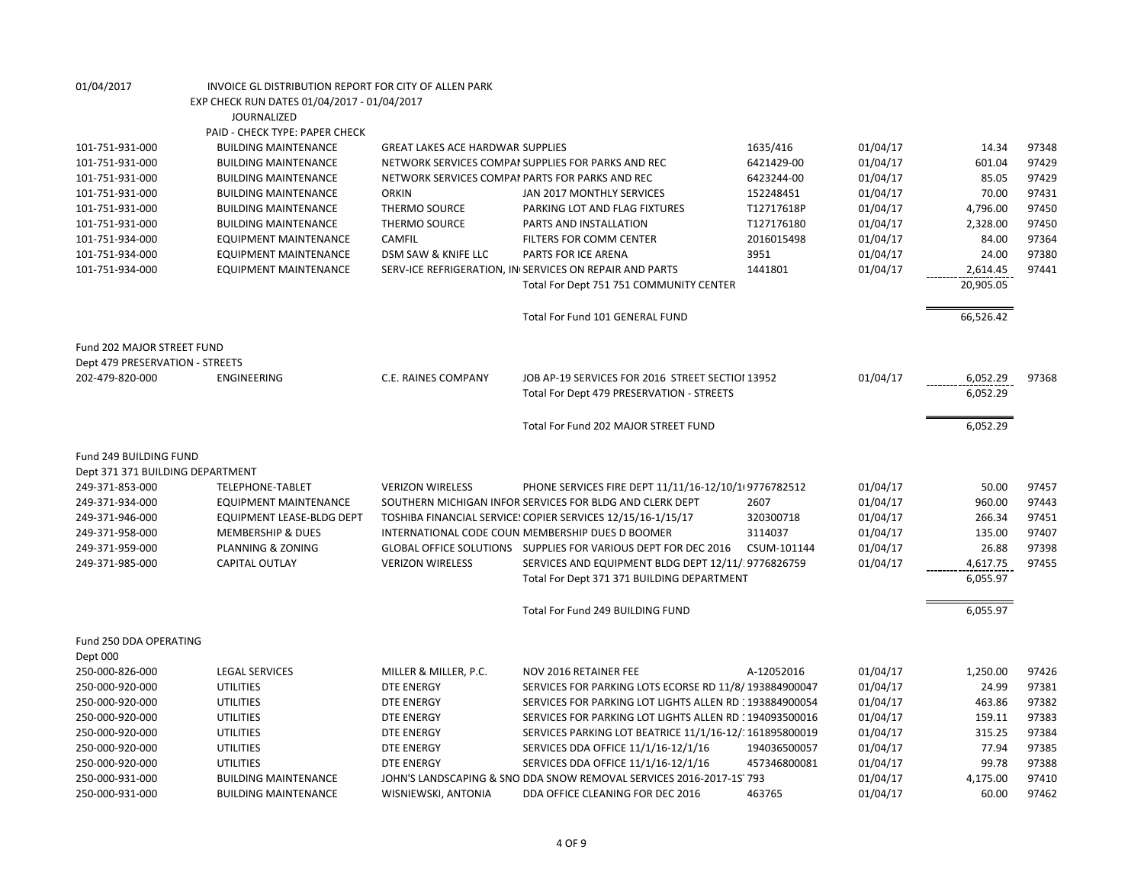| 01/04/2017                       | INVOICE GL DISTRIBUTION REPORT FOR CITY OF ALLEN PARK |                                                 |                                                                     |              |          |           |       |
|----------------------------------|-------------------------------------------------------|-------------------------------------------------|---------------------------------------------------------------------|--------------|----------|-----------|-------|
|                                  | EXP CHECK RUN DATES 01/04/2017 - 01/04/2017           |                                                 |                                                                     |              |          |           |       |
|                                  | <b>JOURNALIZED</b>                                    |                                                 |                                                                     |              |          |           |       |
|                                  | PAID - CHECK TYPE: PAPER CHECK                        |                                                 |                                                                     |              |          |           |       |
| 101-751-931-000                  | <b>BUILDING MAINTENANCE</b>                           | <b>GREAT LAKES ACE HARDWAR SUPPLIES</b>         |                                                                     | 1635/416     | 01/04/17 | 14.34     | 97348 |
| 101-751-931-000                  | <b>BUILDING MAINTENANCE</b>                           |                                                 | NETWORK SERVICES COMPAI SUPPLIES FOR PARKS AND REC                  | 6421429-00   | 01/04/17 | 601.04    | 97429 |
| 101-751-931-000                  | <b>BUILDING MAINTENANCE</b>                           | NETWORK SERVICES COMPAI PARTS FOR PARKS AND REC |                                                                     | 6423244-00   | 01/04/17 | 85.05     | 97429 |
| 101-751-931-000                  | <b>BUILDING MAINTENANCE</b>                           | <b>ORKIN</b>                                    | JAN 2017 MONTHLY SERVICES                                           | 152248451    | 01/04/17 | 70.00     | 97431 |
| 101-751-931-000                  | <b>BUILDING MAINTENANCE</b>                           | THERMO SOURCE                                   | PARKING LOT AND FLAG FIXTURES                                       | T12717618P   | 01/04/17 | 4,796.00  | 97450 |
| 101-751-931-000                  | <b>BUILDING MAINTENANCE</b>                           | THERMO SOURCE                                   | PARTS AND INSTALLATION                                              | T127176180   | 01/04/17 | 2,328.00  | 97450 |
| 101-751-934-000                  | <b>EQUIPMENT MAINTENANCE</b>                          | CAMFIL                                          | FILTERS FOR COMM CENTER                                             | 2016015498   | 01/04/17 | 84.00     | 97364 |
| 101-751-934-000                  | <b>EQUIPMENT MAINTENANCE</b>                          | DSM SAW & KNIFE LLC                             | PARTS FOR ICE ARENA                                                 | 3951         | 01/04/17 | 24.00     | 97380 |
|                                  |                                                       |                                                 |                                                                     | 1441801      |          |           | 97441 |
| 101-751-934-000                  | <b>EQUIPMENT MAINTENANCE</b>                          |                                                 | SERV-ICE REFRIGERATION, IN SERVICES ON REPAIR AND PARTS             |              | 01/04/17 | 2,614.45  |       |
|                                  |                                                       |                                                 | Total For Dept 751 751 COMMUNITY CENTER                             |              |          | 20,905.05 |       |
|                                  |                                                       |                                                 | Total For Fund 101 GENERAL FUND                                     |              |          | 66,526.42 |       |
|                                  |                                                       |                                                 |                                                                     |              |          |           |       |
| Fund 202 MAJOR STREET FUND       |                                                       |                                                 |                                                                     |              |          |           |       |
| Dept 479 PRESERVATION - STREETS  |                                                       |                                                 |                                                                     |              |          |           |       |
| 202-479-820-000                  | ENGINEERING                                           | C.E. RAINES COMPANY                             | JOB AP-19 SERVICES FOR 2016 STREET SECTIOI 13952                    |              | 01/04/17 | 6,052.29  | 97368 |
|                                  |                                                       |                                                 | Total For Dept 479 PRESERVATION - STREETS                           |              |          | 6,052.29  |       |
|                                  |                                                       |                                                 |                                                                     |              |          |           |       |
|                                  |                                                       |                                                 | Total For Fund 202 MAJOR STREET FUND                                |              |          | 6,052.29  |       |
| Fund 249 BUILDING FUND           |                                                       |                                                 |                                                                     |              |          |           |       |
| Dept 371 371 BUILDING DEPARTMENT |                                                       |                                                 |                                                                     |              |          |           |       |
| 249-371-853-000                  | TELEPHONE-TABLET                                      | <b>VERIZON WIRELESS</b>                         |                                                                     |              | 01/04/17 | 50.00     | 97457 |
|                                  |                                                       |                                                 | PHONE SERVICES FIRE DEPT 11/11/16-12/10/1 9776782512                | 2607         |          |           |       |
| 249-371-934-000                  | <b>EQUIPMENT MAINTENANCE</b>                          |                                                 | SOUTHERN MICHIGAN INFOR SERVICES FOR BLDG AND CLERK DEPT            |              | 01/04/17 | 960.00    | 97443 |
| 249-371-946-000                  | <b>EQUIPMENT LEASE-BLDG DEPT</b>                      |                                                 | TOSHIBA FINANCIAL SERVICE: COPIER SERVICES 12/15/16-1/15/17         | 320300718    | 01/04/17 | 266.34    | 97451 |
| 249-371-958-000                  | <b>MEMBERSHIP &amp; DUES</b>                          |                                                 | INTERNATIONAL CODE COUN MEMBERSHIP DUES D BOOMER                    | 3114037      | 01/04/17 | 135.00    | 97407 |
| 249-371-959-000                  | PLANNING & ZONING                                     |                                                 | GLOBAL OFFICE SOLUTIONS  SUPPLIES FOR VARIOUS DEPT FOR DEC 2016     | CSUM-101144  | 01/04/17 | 26.88     | 97398 |
| 249-371-985-000                  | CAPITAL OUTLAY                                        | <b>VERIZON WIRELESS</b>                         | SERVICES AND EQUIPMENT BLDG DEPT 12/11/ 9776826759                  |              | 01/04/17 | 4,617.75  | 97455 |
|                                  |                                                       |                                                 | Total For Dept 371 371 BUILDING DEPARTMENT                          |              |          | 6,055.97  |       |
|                                  |                                                       |                                                 | Total For Fund 249 BUILDING FUND                                    |              |          | 6,055.97  |       |
| Fund 250 DDA OPERATING           |                                                       |                                                 |                                                                     |              |          |           |       |
| Dept 000                         |                                                       |                                                 |                                                                     |              |          |           |       |
| 250-000-826-000                  | <b>LEGAL SERVICES</b>                                 | MILLER & MILLER, P.C.                           | NOV 2016 RETAINER FEE                                               | A-12052016   | 01/04/17 | 1,250.00  | 97426 |
| 250-000-920-000                  | <b>UTILITIES</b>                                      | <b>DTE ENERGY</b>                               | SERVICES FOR PARKING LOTS ECORSE RD 11/8/193884900047               |              | 01/04/17 | 24.99     | 97381 |
| 250-000-920-000                  | <b>UTILITIES</b>                                      | <b>DTE ENERGY</b>                               | SERVICES FOR PARKING LOT LIGHTS ALLEN RD : 193884900054             |              | 01/04/17 | 463.86    | 97382 |
| 250-000-920-000                  | <b>UTILITIES</b>                                      | <b>DTE ENERGY</b>                               | SERVICES FOR PARKING LOT LIGHTS ALLEN RD : 194093500016             |              | 01/04/17 | 159.11    | 97383 |
| 250-000-920-000                  | <b>UTILITIES</b>                                      | <b>DTE ENERGY</b>                               | SERVICES PARKING LOT BEATRICE 11/1/16-12/: 161895800019             |              | 01/04/17 | 315.25    | 97384 |
| 250-000-920-000                  | <b>UTILITIES</b>                                      | <b>DTE ENERGY</b>                               | SERVICES DDA OFFICE 11/1/16-12/1/16                                 | 194036500057 | 01/04/17 | 77.94     | 97385 |
| 250-000-920-000                  | <b>UTILITIES</b>                                      | <b>DTE ENERGY</b>                               | SERVICES DDA OFFICE 11/1/16-12/1/16                                 | 457346800081 | 01/04/17 | 99.78     | 97388 |
| 250-000-931-000                  | <b>BUILDING MAINTENANCE</b>                           |                                                 | JOHN'S LANDSCAPING & SNO DDA SNOW REMOVAL SERVICES 2016-2017-1S 793 |              | 01/04/17 | 4,175.00  | 97410 |
| 250-000-931-000                  | <b>BUILDING MAINTENANCE</b>                           | WISNIEWSKI, ANTONIA                             | DDA OFFICE CLEANING FOR DEC 2016                                    | 463765       | 01/04/17 | 60.00     | 97462 |
|                                  |                                                       |                                                 |                                                                     |              |          |           |       |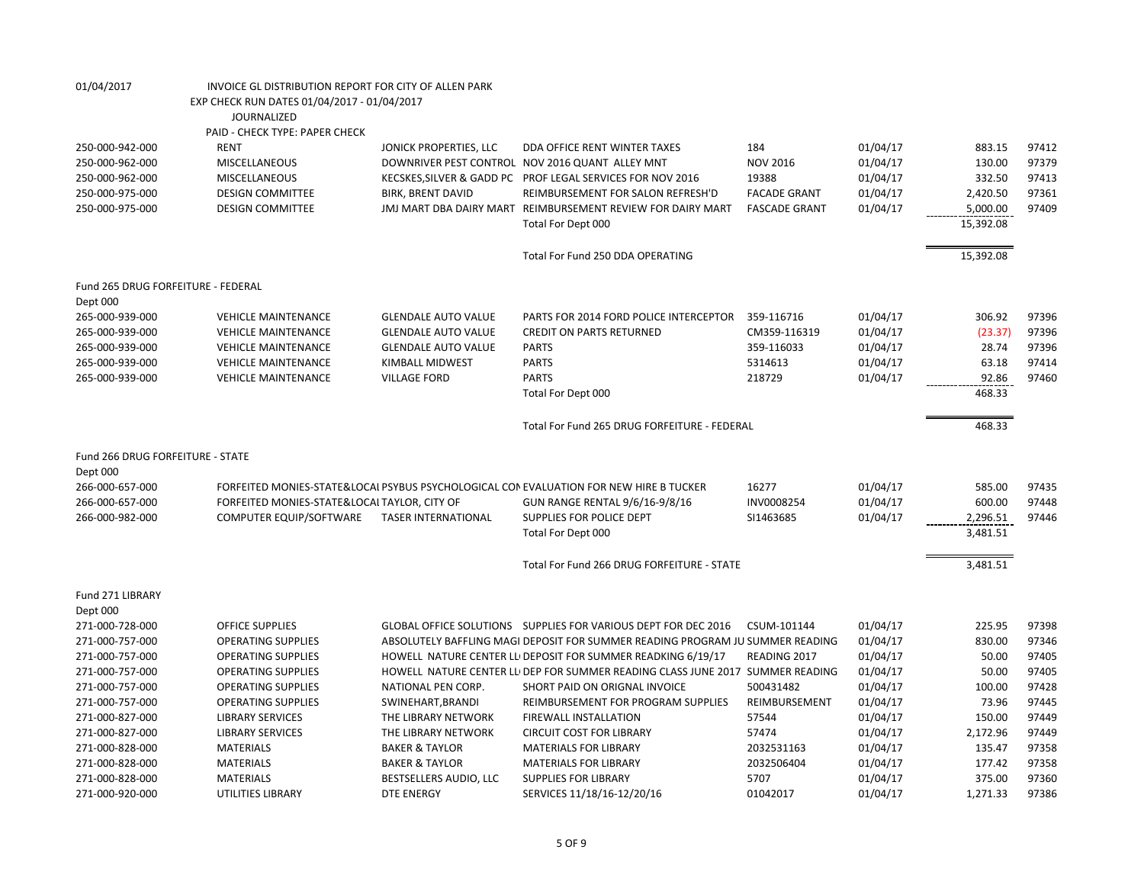| EXP CHECK RUN DATES 01/04/2017 - 01/04/2017<br><b>JOURNALIZED</b><br>PAID - CHECK TYPE: PAPER CHECK<br><b>RENT</b><br>184<br>97412<br>250-000-942-000<br>JONICK PROPERTIES, LLC<br>DDA OFFICE RENT WINTER TAXES<br>01/04/17<br>883.15<br>250-000-962-000<br>MISCELLANEOUS<br>DOWNRIVER PEST CONTROL NOV 2016 QUANT ALLEY MNT<br><b>NOV 2016</b><br>01/04/17<br>130.00<br>97379<br>250-000-962-000<br>MISCELLANEOUS<br>KECSKES, SILVER & GADD PC PROF LEGAL SERVICES FOR NOV 2016<br>19388<br>01/04/17<br>332.50<br>97413<br>01/04/17<br>2,420.50<br>97361<br>250-000-975-000<br><b>DESIGN COMMITTEE</b><br><b>BIRK, BRENT DAVID</b><br>REIMBURSEMENT FOR SALON REFRESH'D<br><b>FACADE GRANT</b><br>01/04/17<br>97409<br>250-000-975-000<br><b>DESIGN COMMITTEE</b><br>JMJ MART DBA DAIRY MART REIMBURSEMENT REVIEW FOR DAIRY MART<br><b>FASCADE GRANT</b><br>5,000.00<br>15,392.08<br>Total For Dept 000<br>15,392.08<br>Total For Fund 250 DDA OPERATING<br>Fund 265 DRUG FORFEITURE - FEDERAL<br>Dept 000<br>265-000-939-000<br><b>VEHICLE MAINTENANCE</b><br>PARTS FOR 2014 FORD POLICE INTERCEPTOR<br>359-116716<br>01/04/17<br>306.92<br>97396<br><b>GLENDALE AUTO VALUE</b><br>01/04/17<br>265-000-939-000<br><b>VEHICLE MAINTENANCE</b><br><b>GLENDALE AUTO VALUE</b><br><b>CREDIT ON PARTS RETURNED</b><br>CM359-116319<br>(23.37)<br>97396<br>359-116033<br>28.74<br>97396<br>265-000-939-000<br><b>VEHICLE MAINTENANCE</b><br><b>GLENDALE AUTO VALUE</b><br><b>PARTS</b><br>01/04/17<br><b>PARTS</b><br>01/04/17<br>63.18<br>265-000-939-000<br><b>VEHICLE MAINTENANCE</b><br><b>KIMBALL MIDWEST</b><br>5314613<br>97414<br><b>PARTS</b><br>92.86<br>265-000-939-000<br><b>VEHICLE MAINTENANCE</b><br><b>VILLAGE FORD</b><br>218729<br>01/04/17<br>97460<br>Total For Dept 000<br>468.33<br>Total For Fund 265 DRUG FORFEITURE - FEDERAL<br>468.33<br>Fund 266 DRUG FORFEITURE - STATE<br>Dept 000<br>01/04/17<br>97435<br>266-000-657-000<br>FORFEITED MONIES-STATE&LOCAI PSYBUS PSYCHOLOGICAL CON EVALUATION FOR NEW HIRE B TUCKER<br>16277<br>585.00<br>266-000-657-000<br>FORFEITED MONIES-STATE&LOCAL TAYLOR, CITY OF<br>INV0008254<br>01/04/17<br>600.00<br>97448<br>GUN RANGE RENTAL 9/6/16-9/8/16<br>COMPUTER EQUIP/SOFTWARE<br><b>TASER INTERNATIONAL</b><br>SUPPLIES FOR POLICE DEPT<br>01/04/17<br>2,296.51<br>97446<br>266-000-982-000<br>SI1463685<br>3,481.51<br>Total For Dept 000<br>Total For Fund 266 DRUG FORFEITURE - STATE<br>3,481.51<br>Fund 271 LIBRARY<br>Dept 000 |
|-------------------------------------------------------------------------------------------------------------------------------------------------------------------------------------------------------------------------------------------------------------------------------------------------------------------------------------------------------------------------------------------------------------------------------------------------------------------------------------------------------------------------------------------------------------------------------------------------------------------------------------------------------------------------------------------------------------------------------------------------------------------------------------------------------------------------------------------------------------------------------------------------------------------------------------------------------------------------------------------------------------------------------------------------------------------------------------------------------------------------------------------------------------------------------------------------------------------------------------------------------------------------------------------------------------------------------------------------------------------------------------------------------------------------------------------------------------------------------------------------------------------------------------------------------------------------------------------------------------------------------------------------------------------------------------------------------------------------------------------------------------------------------------------------------------------------------------------------------------------------------------------------------------------------------------------------------------------------------------------------------------------------------------------------------------------------------------------------------------------------------------------------------------------------------------------------------------------------------------------------------------------------------------------------------------------------------------------------------------------------------------------------------------------------------------------------------------------------------------------------------|
|                                                                                                                                                                                                                                                                                                                                                                                                                                                                                                                                                                                                                                                                                                                                                                                                                                                                                                                                                                                                                                                                                                                                                                                                                                                                                                                                                                                                                                                                                                                                                                                                                                                                                                                                                                                                                                                                                                                                                                                                                                                                                                                                                                                                                                                                                                                                                                                                                                                                                                       |
|                                                                                                                                                                                                                                                                                                                                                                                                                                                                                                                                                                                                                                                                                                                                                                                                                                                                                                                                                                                                                                                                                                                                                                                                                                                                                                                                                                                                                                                                                                                                                                                                                                                                                                                                                                                                                                                                                                                                                                                                                                                                                                                                                                                                                                                                                                                                                                                                                                                                                                       |
|                                                                                                                                                                                                                                                                                                                                                                                                                                                                                                                                                                                                                                                                                                                                                                                                                                                                                                                                                                                                                                                                                                                                                                                                                                                                                                                                                                                                                                                                                                                                                                                                                                                                                                                                                                                                                                                                                                                                                                                                                                                                                                                                                                                                                                                                                                                                                                                                                                                                                                       |
|                                                                                                                                                                                                                                                                                                                                                                                                                                                                                                                                                                                                                                                                                                                                                                                                                                                                                                                                                                                                                                                                                                                                                                                                                                                                                                                                                                                                                                                                                                                                                                                                                                                                                                                                                                                                                                                                                                                                                                                                                                                                                                                                                                                                                                                                                                                                                                                                                                                                                                       |
|                                                                                                                                                                                                                                                                                                                                                                                                                                                                                                                                                                                                                                                                                                                                                                                                                                                                                                                                                                                                                                                                                                                                                                                                                                                                                                                                                                                                                                                                                                                                                                                                                                                                                                                                                                                                                                                                                                                                                                                                                                                                                                                                                                                                                                                                                                                                                                                                                                                                                                       |
|                                                                                                                                                                                                                                                                                                                                                                                                                                                                                                                                                                                                                                                                                                                                                                                                                                                                                                                                                                                                                                                                                                                                                                                                                                                                                                                                                                                                                                                                                                                                                                                                                                                                                                                                                                                                                                                                                                                                                                                                                                                                                                                                                                                                                                                                                                                                                                                                                                                                                                       |
|                                                                                                                                                                                                                                                                                                                                                                                                                                                                                                                                                                                                                                                                                                                                                                                                                                                                                                                                                                                                                                                                                                                                                                                                                                                                                                                                                                                                                                                                                                                                                                                                                                                                                                                                                                                                                                                                                                                                                                                                                                                                                                                                                                                                                                                                                                                                                                                                                                                                                                       |
|                                                                                                                                                                                                                                                                                                                                                                                                                                                                                                                                                                                                                                                                                                                                                                                                                                                                                                                                                                                                                                                                                                                                                                                                                                                                                                                                                                                                                                                                                                                                                                                                                                                                                                                                                                                                                                                                                                                                                                                                                                                                                                                                                                                                                                                                                                                                                                                                                                                                                                       |
|                                                                                                                                                                                                                                                                                                                                                                                                                                                                                                                                                                                                                                                                                                                                                                                                                                                                                                                                                                                                                                                                                                                                                                                                                                                                                                                                                                                                                                                                                                                                                                                                                                                                                                                                                                                                                                                                                                                                                                                                                                                                                                                                                                                                                                                                                                                                                                                                                                                                                                       |
|                                                                                                                                                                                                                                                                                                                                                                                                                                                                                                                                                                                                                                                                                                                                                                                                                                                                                                                                                                                                                                                                                                                                                                                                                                                                                                                                                                                                                                                                                                                                                                                                                                                                                                                                                                                                                                                                                                                                                                                                                                                                                                                                                                                                                                                                                                                                                                                                                                                                                                       |
|                                                                                                                                                                                                                                                                                                                                                                                                                                                                                                                                                                                                                                                                                                                                                                                                                                                                                                                                                                                                                                                                                                                                                                                                                                                                                                                                                                                                                                                                                                                                                                                                                                                                                                                                                                                                                                                                                                                                                                                                                                                                                                                                                                                                                                                                                                                                                                                                                                                                                                       |
|                                                                                                                                                                                                                                                                                                                                                                                                                                                                                                                                                                                                                                                                                                                                                                                                                                                                                                                                                                                                                                                                                                                                                                                                                                                                                                                                                                                                                                                                                                                                                                                                                                                                                                                                                                                                                                                                                                                                                                                                                                                                                                                                                                                                                                                                                                                                                                                                                                                                                                       |
|                                                                                                                                                                                                                                                                                                                                                                                                                                                                                                                                                                                                                                                                                                                                                                                                                                                                                                                                                                                                                                                                                                                                                                                                                                                                                                                                                                                                                                                                                                                                                                                                                                                                                                                                                                                                                                                                                                                                                                                                                                                                                                                                                                                                                                                                                                                                                                                                                                                                                                       |
|                                                                                                                                                                                                                                                                                                                                                                                                                                                                                                                                                                                                                                                                                                                                                                                                                                                                                                                                                                                                                                                                                                                                                                                                                                                                                                                                                                                                                                                                                                                                                                                                                                                                                                                                                                                                                                                                                                                                                                                                                                                                                                                                                                                                                                                                                                                                                                                                                                                                                                       |
|                                                                                                                                                                                                                                                                                                                                                                                                                                                                                                                                                                                                                                                                                                                                                                                                                                                                                                                                                                                                                                                                                                                                                                                                                                                                                                                                                                                                                                                                                                                                                                                                                                                                                                                                                                                                                                                                                                                                                                                                                                                                                                                                                                                                                                                                                                                                                                                                                                                                                                       |
|                                                                                                                                                                                                                                                                                                                                                                                                                                                                                                                                                                                                                                                                                                                                                                                                                                                                                                                                                                                                                                                                                                                                                                                                                                                                                                                                                                                                                                                                                                                                                                                                                                                                                                                                                                                                                                                                                                                                                                                                                                                                                                                                                                                                                                                                                                                                                                                                                                                                                                       |
|                                                                                                                                                                                                                                                                                                                                                                                                                                                                                                                                                                                                                                                                                                                                                                                                                                                                                                                                                                                                                                                                                                                                                                                                                                                                                                                                                                                                                                                                                                                                                                                                                                                                                                                                                                                                                                                                                                                                                                                                                                                                                                                                                                                                                                                                                                                                                                                                                                                                                                       |
|                                                                                                                                                                                                                                                                                                                                                                                                                                                                                                                                                                                                                                                                                                                                                                                                                                                                                                                                                                                                                                                                                                                                                                                                                                                                                                                                                                                                                                                                                                                                                                                                                                                                                                                                                                                                                                                                                                                                                                                                                                                                                                                                                                                                                                                                                                                                                                                                                                                                                                       |
|                                                                                                                                                                                                                                                                                                                                                                                                                                                                                                                                                                                                                                                                                                                                                                                                                                                                                                                                                                                                                                                                                                                                                                                                                                                                                                                                                                                                                                                                                                                                                                                                                                                                                                                                                                                                                                                                                                                                                                                                                                                                                                                                                                                                                                                                                                                                                                                                                                                                                                       |
|                                                                                                                                                                                                                                                                                                                                                                                                                                                                                                                                                                                                                                                                                                                                                                                                                                                                                                                                                                                                                                                                                                                                                                                                                                                                                                                                                                                                                                                                                                                                                                                                                                                                                                                                                                                                                                                                                                                                                                                                                                                                                                                                                                                                                                                                                                                                                                                                                                                                                                       |
|                                                                                                                                                                                                                                                                                                                                                                                                                                                                                                                                                                                                                                                                                                                                                                                                                                                                                                                                                                                                                                                                                                                                                                                                                                                                                                                                                                                                                                                                                                                                                                                                                                                                                                                                                                                                                                                                                                                                                                                                                                                                                                                                                                                                                                                                                                                                                                                                                                                                                                       |
|                                                                                                                                                                                                                                                                                                                                                                                                                                                                                                                                                                                                                                                                                                                                                                                                                                                                                                                                                                                                                                                                                                                                                                                                                                                                                                                                                                                                                                                                                                                                                                                                                                                                                                                                                                                                                                                                                                                                                                                                                                                                                                                                                                                                                                                                                                                                                                                                                                                                                                       |
|                                                                                                                                                                                                                                                                                                                                                                                                                                                                                                                                                                                                                                                                                                                                                                                                                                                                                                                                                                                                                                                                                                                                                                                                                                                                                                                                                                                                                                                                                                                                                                                                                                                                                                                                                                                                                                                                                                                                                                                                                                                                                                                                                                                                                                                                                                                                                                                                                                                                                                       |
|                                                                                                                                                                                                                                                                                                                                                                                                                                                                                                                                                                                                                                                                                                                                                                                                                                                                                                                                                                                                                                                                                                                                                                                                                                                                                                                                                                                                                                                                                                                                                                                                                                                                                                                                                                                                                                                                                                                                                                                                                                                                                                                                                                                                                                                                                                                                                                                                                                                                                                       |
|                                                                                                                                                                                                                                                                                                                                                                                                                                                                                                                                                                                                                                                                                                                                                                                                                                                                                                                                                                                                                                                                                                                                                                                                                                                                                                                                                                                                                                                                                                                                                                                                                                                                                                                                                                                                                                                                                                                                                                                                                                                                                                                                                                                                                                                                                                                                                                                                                                                                                                       |
|                                                                                                                                                                                                                                                                                                                                                                                                                                                                                                                                                                                                                                                                                                                                                                                                                                                                                                                                                                                                                                                                                                                                                                                                                                                                                                                                                                                                                                                                                                                                                                                                                                                                                                                                                                                                                                                                                                                                                                                                                                                                                                                                                                                                                                                                                                                                                                                                                                                                                                       |
|                                                                                                                                                                                                                                                                                                                                                                                                                                                                                                                                                                                                                                                                                                                                                                                                                                                                                                                                                                                                                                                                                                                                                                                                                                                                                                                                                                                                                                                                                                                                                                                                                                                                                                                                                                                                                                                                                                                                                                                                                                                                                                                                                                                                                                                                                                                                                                                                                                                                                                       |
| 01/04/17<br>225.95<br>271-000-728-000<br><b>OFFICE SUPPLIES</b><br>GLOBAL OFFICE SOLUTIONS SUPPLIES FOR VARIOUS DEPT FOR DEC 2016<br>CSUM-101144<br>97398                                                                                                                                                                                                                                                                                                                                                                                                                                                                                                                                                                                                                                                                                                                                                                                                                                                                                                                                                                                                                                                                                                                                                                                                                                                                                                                                                                                                                                                                                                                                                                                                                                                                                                                                                                                                                                                                                                                                                                                                                                                                                                                                                                                                                                                                                                                                             |
| 271-000-757-000<br>ABSOLUTELY BAFFLING MAGI DEPOSIT FOR SUMMER READING PROGRAM JU SUMMER READING<br>01/04/17<br>830.00<br>97346<br><b>OPERATING SUPPLIES</b>                                                                                                                                                                                                                                                                                                                                                                                                                                                                                                                                                                                                                                                                                                                                                                                                                                                                                                                                                                                                                                                                                                                                                                                                                                                                                                                                                                                                                                                                                                                                                                                                                                                                                                                                                                                                                                                                                                                                                                                                                                                                                                                                                                                                                                                                                                                                          |
| 01/04/17<br>50.00<br>97405<br>271-000-757-000<br><b>OPERATING SUPPLIES</b><br>HOWELL NATURE CENTER LL DEPOSIT FOR SUMMER READKING 6/19/17<br>READING 2017                                                                                                                                                                                                                                                                                                                                                                                                                                                                                                                                                                                                                                                                                                                                                                                                                                                                                                                                                                                                                                                                                                                                                                                                                                                                                                                                                                                                                                                                                                                                                                                                                                                                                                                                                                                                                                                                                                                                                                                                                                                                                                                                                                                                                                                                                                                                             |
| HOWELL NATURE CENTER LLI DEP FOR SUMMER READING CLASS JUNE 2017 SUMMER READING<br>01/04/17<br>50.00<br>97405<br>271-000-757-000<br><b>OPERATING SUPPLIES</b>                                                                                                                                                                                                                                                                                                                                                                                                                                                                                                                                                                                                                                                                                                                                                                                                                                                                                                                                                                                                                                                                                                                                                                                                                                                                                                                                                                                                                                                                                                                                                                                                                                                                                                                                                                                                                                                                                                                                                                                                                                                                                                                                                                                                                                                                                                                                          |
| 100.00<br>97428<br>271-000-757-000<br><b>OPERATING SUPPLIES</b><br>NATIONAL PEN CORP.<br>SHORT PAID ON ORIGNAL INVOICE<br>500431482<br>01/04/17<br>271-000-757-000<br><b>OPERATING SUPPLIES</b><br>REIMBURSEMENT FOR PROGRAM SUPPLIES<br>REIMBURSEMENT<br>73.96<br>97445                                                                                                                                                                                                                                                                                                                                                                                                                                                                                                                                                                                                                                                                                                                                                                                                                                                                                                                                                                                                                                                                                                                                                                                                                                                                                                                                                                                                                                                                                                                                                                                                                                                                                                                                                                                                                                                                                                                                                                                                                                                                                                                                                                                                                              |
| SWINEHART, BRANDI<br>01/04/17<br>271-000-827-000<br><b>LIBRARY SERVICES</b><br>THE LIBRARY NETWORK<br>57544<br>01/04/17<br>150.00<br>97449<br><b>FIREWALL INSTALLATION</b>                                                                                                                                                                                                                                                                                                                                                                                                                                                                                                                                                                                                                                                                                                                                                                                                                                                                                                                                                                                                                                                                                                                                                                                                                                                                                                                                                                                                                                                                                                                                                                                                                                                                                                                                                                                                                                                                                                                                                                                                                                                                                                                                                                                                                                                                                                                            |
| 271-000-827-000<br><b>LIBRARY SERVICES</b><br>THE LIBRARY NETWORK<br>57474<br>01/04/17<br>2,172.96<br>97449<br><b>CIRCUIT COST FOR LIBRARY</b>                                                                                                                                                                                                                                                                                                                                                                                                                                                                                                                                                                                                                                                                                                                                                                                                                                                                                                                                                                                                                                                                                                                                                                                                                                                                                                                                                                                                                                                                                                                                                                                                                                                                                                                                                                                                                                                                                                                                                                                                                                                                                                                                                                                                                                                                                                                                                        |
| 97358<br>271-000-828-000<br><b>MATERIALS</b><br><b>BAKER &amp; TAYLOR</b><br><b>MATERIALS FOR LIBRARY</b><br>2032531163<br>01/04/17<br>135.47                                                                                                                                                                                                                                                                                                                                                                                                                                                                                                                                                                                                                                                                                                                                                                                                                                                                                                                                                                                                                                                                                                                                                                                                                                                                                                                                                                                                                                                                                                                                                                                                                                                                                                                                                                                                                                                                                                                                                                                                                                                                                                                                                                                                                                                                                                                                                         |
| 271-000-828-000<br><b>MATERIALS</b><br><b>BAKER &amp; TAYLOR</b><br><b>MATERIALS FOR LIBRARY</b><br>2032506404<br>01/04/17<br>177.42<br>97358                                                                                                                                                                                                                                                                                                                                                                                                                                                                                                                                                                                                                                                                                                                                                                                                                                                                                                                                                                                                                                                                                                                                                                                                                                                                                                                                                                                                                                                                                                                                                                                                                                                                                                                                                                                                                                                                                                                                                                                                                                                                                                                                                                                                                                                                                                                                                         |
| 271-000-828-000<br><b>MATERIALS</b><br>BESTSELLERS AUDIO, LLC<br><b>SUPPLIES FOR LIBRARY</b><br>5707<br>01/04/17<br>375.00<br>97360                                                                                                                                                                                                                                                                                                                                                                                                                                                                                                                                                                                                                                                                                                                                                                                                                                                                                                                                                                                                                                                                                                                                                                                                                                                                                                                                                                                                                                                                                                                                                                                                                                                                                                                                                                                                                                                                                                                                                                                                                                                                                                                                                                                                                                                                                                                                                                   |
| 01/04/17<br>1,271.33<br>97386<br>271-000-920-000<br>UTILITIES LIBRARY<br><b>DTE ENERGY</b><br>SERVICES 11/18/16-12/20/16<br>01042017                                                                                                                                                                                                                                                                                                                                                                                                                                                                                                                                                                                                                                                                                                                                                                                                                                                                                                                                                                                                                                                                                                                                                                                                                                                                                                                                                                                                                                                                                                                                                                                                                                                                                                                                                                                                                                                                                                                                                                                                                                                                                                                                                                                                                                                                                                                                                                  |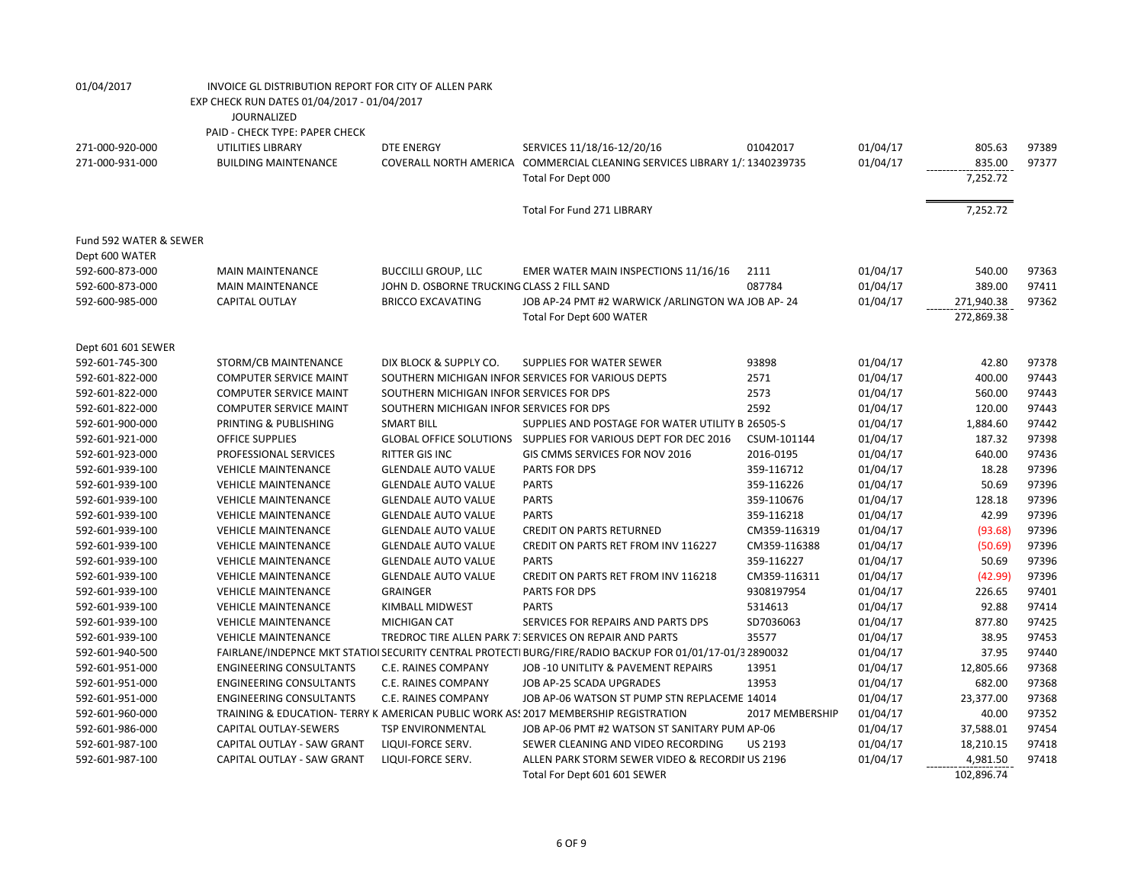| 01/04/2017             | INVOICE GL DISTRIBUTION REPORT FOR CITY OF ALLEN PARK |                                            |                                                                                                          |                 |          |                          |       |
|------------------------|-------------------------------------------------------|--------------------------------------------|----------------------------------------------------------------------------------------------------------|-----------------|----------|--------------------------|-------|
|                        | EXP CHECK RUN DATES 01/04/2017 - 01/04/2017           |                                            |                                                                                                          |                 |          |                          |       |
|                        | <b>JOURNALIZED</b>                                    |                                            |                                                                                                          |                 |          |                          |       |
|                        | PAID - CHECK TYPE: PAPER CHECK                        |                                            |                                                                                                          |                 |          |                          |       |
| 271-000-920-000        | UTILITIES LIBRARY                                     | <b>DTE ENERGY</b>                          | SERVICES 11/18/16-12/20/16                                                                               | 01042017        | 01/04/17 | 805.63                   | 97389 |
| 271-000-931-000        | <b>BUILDING MAINTENANCE</b>                           |                                            | COVERALL NORTH AMERICA COMMERCIAL CLEANING SERVICES LIBRARY 1/: 1340239735                               |                 | 01/04/17 | 835.00                   | 97377 |
|                        |                                                       |                                            | Total For Dept 000                                                                                       |                 |          | 7,252.72                 |       |
|                        |                                                       |                                            | <b>Total For Fund 271 LIBRARY</b>                                                                        |                 |          | 7,252.72                 |       |
| Fund 592 WATER & SEWER |                                                       |                                            |                                                                                                          |                 |          |                          |       |
| Dept 600 WATER         |                                                       |                                            |                                                                                                          |                 |          |                          |       |
| 592-600-873-000        | <b>MAIN MAINTENANCE</b>                               | <b>BUCCILLI GROUP, LLC</b>                 | EMER WATER MAIN INSPECTIONS 11/16/16                                                                     | 2111            | 01/04/17 | 540.00                   | 97363 |
| 592-600-873-000        | <b>MAIN MAINTENANCE</b>                               | JOHN D. OSBORNE TRUCKING CLASS 2 FILL SAND |                                                                                                          | 087784          | 01/04/17 | 389.00                   | 97411 |
| 592-600-985-000        | <b>CAPITAL OUTLAY</b>                                 | <b>BRICCO EXCAVATING</b>                   | JOB AP-24 PMT #2 WARWICK / ARLINGTON WA JOB AP-24<br>Total For Dept 600 WATER                            |                 | 01/04/17 | 271,940.38<br>272,869.38 | 97362 |
| Dept 601 601 SEWER     |                                                       |                                            |                                                                                                          |                 |          |                          |       |
| 592-601-745-300        | STORM/CB MAINTENANCE                                  | DIX BLOCK & SUPPLY CO.                     | SUPPLIES FOR WATER SEWER                                                                                 | 93898           | 01/04/17 | 42.80                    | 97378 |
| 592-601-822-000        | <b>COMPUTER SERVICE MAINT</b>                         |                                            | SOUTHERN MICHIGAN INFOR SERVICES FOR VARIOUS DEPTS                                                       | 2571            | 01/04/17 | 400.00                   | 97443 |
| 592-601-822-000        | <b>COMPUTER SERVICE MAINT</b>                         | SOUTHERN MICHIGAN INFOR SERVICES FOR DPS   |                                                                                                          | 2573            | 01/04/17 | 560.00                   | 97443 |
| 592-601-822-000        | <b>COMPUTER SERVICE MAINT</b>                         | SOUTHERN MICHIGAN INFOR SERVICES FOR DPS   |                                                                                                          | 2592            | 01/04/17 | 120.00                   | 97443 |
| 592-601-900-000        | PRINTING & PUBLISHING                                 | <b>SMART BILL</b>                          | SUPPLIES AND POSTAGE FOR WATER UTILITY B 26505-S                                                         |                 | 01/04/17 | 1,884.60                 | 97442 |
| 592-601-921-000        | <b>OFFICE SUPPLIES</b>                                |                                            | GLOBAL OFFICE SOLUTIONS  SUPPLIES FOR VARIOUS DEPT FOR DEC 2016                                          | CSUM-101144     | 01/04/17 | 187.32                   | 97398 |
| 592-601-923-000        | PROFESSIONAL SERVICES                                 | <b>RITTER GIS INC</b>                      | GIS CMMS SERVICES FOR NOV 2016                                                                           | 2016-0195       | 01/04/17 | 640.00                   | 97436 |
| 592-601-939-100        | <b>VEHICLE MAINTENANCE</b>                            | <b>GLENDALE AUTO VALUE</b>                 | PARTS FOR DPS                                                                                            | 359-116712      | 01/04/17 | 18.28                    | 97396 |
| 592-601-939-100        | <b>VEHICLE MAINTENANCE</b>                            | <b>GLENDALE AUTO VALUE</b>                 | <b>PARTS</b>                                                                                             | 359-116226      | 01/04/17 | 50.69                    | 97396 |
| 592-601-939-100        | <b>VEHICLE MAINTENANCE</b>                            | <b>GLENDALE AUTO VALUE</b>                 | <b>PARTS</b>                                                                                             | 359-110676      | 01/04/17 | 128.18                   | 97396 |
| 592-601-939-100        | <b>VEHICLE MAINTENANCE</b>                            | <b>GLENDALE AUTO VALUE</b>                 | <b>PARTS</b>                                                                                             | 359-116218      | 01/04/17 | 42.99                    | 97396 |
| 592-601-939-100        | <b>VEHICLE MAINTENANCE</b>                            | <b>GLENDALE AUTO VALUE</b>                 | <b>CREDIT ON PARTS RETURNED</b>                                                                          | CM359-116319    | 01/04/17 | (93.68)                  | 97396 |
| 592-601-939-100        | <b>VEHICLE MAINTENANCE</b>                            | <b>GLENDALE AUTO VALUE</b>                 | CREDIT ON PARTS RET FROM INV 116227                                                                      | CM359-116388    | 01/04/17 | (50.69)                  | 97396 |
|                        | <b>VEHICLE MAINTENANCE</b>                            | <b>GLENDALE AUTO VALUE</b>                 | <b>PARTS</b>                                                                                             | 359-116227      | 01/04/17 | 50.69                    | 97396 |
| 592-601-939-100        |                                                       |                                            |                                                                                                          |                 |          | (42.99)                  | 97396 |
| 592-601-939-100        | <b>VEHICLE MAINTENANCE</b>                            | <b>GLENDALE AUTO VALUE</b>                 | CREDIT ON PARTS RET FROM INV 116218                                                                      | CM359-116311    | 01/04/17 |                          | 97401 |
| 592-601-939-100        | <b>VEHICLE MAINTENANCE</b>                            | <b>GRAINGER</b>                            | <b>PARTS FOR DPS</b>                                                                                     | 9308197954      | 01/04/17 | 226.65                   |       |
| 592-601-939-100        | <b>VEHICLE MAINTENANCE</b>                            | KIMBALL MIDWEST                            | <b>PARTS</b>                                                                                             | 5314613         | 01/04/17 | 92.88                    | 97414 |
| 592-601-939-100        | <b>VEHICLE MAINTENANCE</b>                            | MICHIGAN CAT                               | SERVICES FOR REPAIRS AND PARTS DPS                                                                       | SD7036063       | 01/04/17 | 877.80                   | 97425 |
| 592-601-939-100        | <b>VEHICLE MAINTENANCE</b>                            |                                            | TREDROC TIRE ALLEN PARK 7. SERVICES ON REPAIR AND PARTS                                                  | 35577           | 01/04/17 | 38.95                    | 97453 |
| 592-601-940-500        |                                                       |                                            | FAIRLANE/INDEPNCE MKT STATIOI SECURITY CENTRAL PROTECTI BURG/FIRE/RADIO BACKUP FOR 01/01/17-01/3 2890032 |                 | 01/04/17 | 37.95                    | 97440 |
| 592-601-951-000        | <b>ENGINEERING CONSULTANTS</b>                        | C.E. RAINES COMPANY                        | JOB-10 UNITLITY & PAVEMENT REPAIRS                                                                       | 13951           | 01/04/17 | 12,805.66                | 97368 |
| 592-601-951-000        | <b>ENGINEERING CONSULTANTS</b>                        | C.E. RAINES COMPANY                        | JOB AP-25 SCADA UPGRADES                                                                                 | 13953           | 01/04/17 | 682.00                   | 97368 |
| 592-601-951-000        | <b>ENGINEERING CONSULTANTS</b>                        | C.E. RAINES COMPANY                        | JOB AP-06 WATSON ST PUMP STN REPLACEME 14014                                                             |                 | 01/04/17 | 23,377.00                | 97368 |
| 592-601-960-000        |                                                       |                                            | TRAINING & EDUCATION- TERRY K AMERICAN PUBLIC WORK AS! 2017 MEMBERSHIP REGISTRATION                      | 2017 MEMBERSHIP | 01/04/17 | 40.00                    | 97352 |
| 592-601-986-000        | CAPITAL OUTLAY-SEWERS                                 | <b>TSP ENVIRONMENTAL</b>                   | JOB AP-06 PMT #2 WATSON ST SANITARY PUM AP-06                                                            |                 | 01/04/17 | 37,588.01                | 97454 |
| 592-601-987-100        | CAPITAL OUTLAY - SAW GRANT                            | LIQUI-FORCE SERV.                          | SEWER CLEANING AND VIDEO RECORDING                                                                       | <b>US 2193</b>  | 01/04/17 | 18,210.15                | 97418 |
| 592-601-987-100        | CAPITAL OUTLAY - SAW GRANT                            | LIQUI-FORCE SERV.                          | ALLEN PARK STORM SEWER VIDEO & RECORDII US 2196                                                          |                 | 01/04/17 | 4,981.50                 | 97418 |
|                        |                                                       |                                            | Total For Dept 601 601 SEWER                                                                             |                 |          | 102,896.74               |       |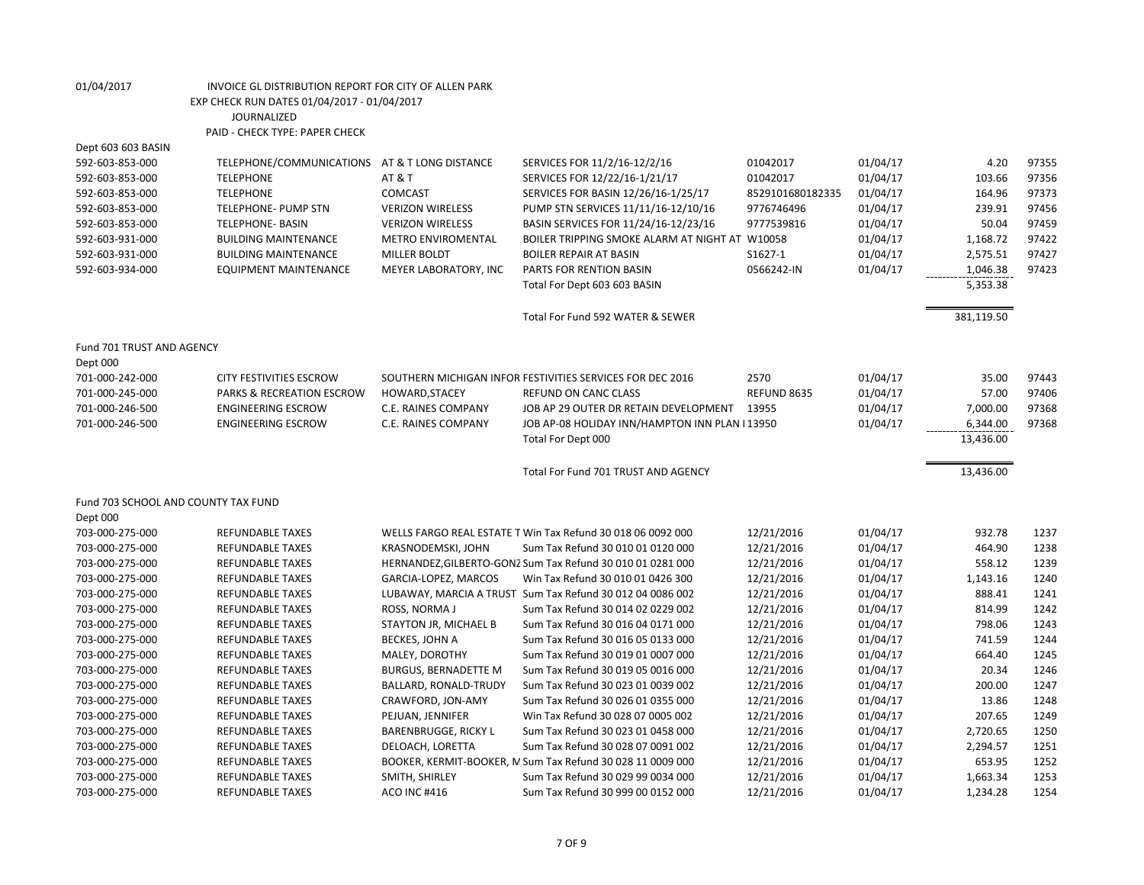Dept 603 603 BASIN

| 592-603-853-000                     | TELEPHONE/COMMUNICATIONS AT & T LONG DISTANCE                          |                             | SERVICES FOR 11/2/16-12/2/16                                                      | 01042017         | 01/04/17 | 4.20           | 97355          |
|-------------------------------------|------------------------------------------------------------------------|-----------------------------|-----------------------------------------------------------------------------------|------------------|----------|----------------|----------------|
| 592-603-853-000                     | <b>TELEPHONE</b>                                                       | <b>AT &amp; T</b>           | SERVICES FOR 12/22/16-1/21/17                                                     | 01042017         | 01/04/17 | 103.66         | 97356          |
| 592-603-853-000                     | <b>TELEPHONE</b>                                                       | <b>COMCAST</b>              | SERVICES FOR BASIN 12/26/16-1/25/17                                               | 8529101680182335 | 01/04/17 | 164.96         | 97373          |
| 592-603-853-000                     | TELEPHONE- PUMP STN                                                    | <b>VERIZON WIRELESS</b>     | PUMP STN SERVICES 11/11/16-12/10/16                                               | 9776746496       | 01/04/17 | 239.91         | 97456          |
| 592-603-853-000                     | <b>TELEPHONE- BASIN</b>                                                | <b>VERIZON WIRELESS</b>     | BASIN SERVICES FOR 11/24/16-12/23/16                                              | 9777539816       | 01/04/17 | 50.04          | 97459          |
| 592-603-931-000                     | <b>BUILDING MAINTENANCE</b>                                            | METRO ENVIROMENTAL          | BOILER TRIPPING SMOKE ALARM AT NIGHT AT W10058                                    |                  | 01/04/17 | 1,168.72       | 97422          |
| 592-603-931-000                     | <b>BUILDING MAINTENANCE</b>                                            | MILLER BOLDT                | <b>BOILER REPAIR AT BASIN</b>                                                     | S1627-1          | 01/04/17 | 2,575.51       | 97427          |
| 592-603-934-000                     | <b>EQUIPMENT MAINTENANCE</b>                                           | MEYER LABORATORY, INC       | PARTS FOR RENTION BASIN                                                           | 0566242-IN       | 01/04/17 | 1,046.38       | 97423          |
|                                     |                                                                        |                             | Total For Dept 603 603 BASIN                                                      |                  |          | 5,353.38       |                |
|                                     |                                                                        |                             | Total For Fund 592 WATER & SEWER                                                  |                  |          | 381,119.50     |                |
| Fund 701 TRUST AND AGENCY           |                                                                        |                             |                                                                                   |                  |          |                |                |
| Dept 000                            |                                                                        |                             |                                                                                   | 2570             | 01/04/17 |                |                |
| 701-000-242-000<br>701-000-245-000  | <b>CITY FESTIVITIES ESCROW</b><br><b>PARKS &amp; RECREATION ESCROW</b> | HOWARD, STACEY              | SOUTHERN MICHIGAN INFOR FESTIVITIES SERVICES FOR DEC 2016<br>REFUND ON CANC CLASS | REFUND 8635      | 01/04/17 | 35.00<br>57.00 | 97443<br>97406 |
| 701-000-246-500                     | <b>ENGINEERING ESCROW</b>                                              | C.E. RAINES COMPANY         | JOB AP 29 OUTER DR RETAIN DEVELOPMENT                                             | 13955            | 01/04/17 | 7,000.00       | 97368          |
| 701-000-246-500                     | <b>ENGINEERING ESCROW</b>                                              | <b>C.E. RAINES COMPANY</b>  | JOB AP-08 HOLIDAY INN/HAMPTON INN PLAN I 13950                                    |                  | 01/04/17 | 6,344.00       | 97368          |
|                                     |                                                                        |                             | Total For Dept 000                                                                |                  |          | 13,436.00      |                |
|                                     |                                                                        |                             |                                                                                   |                  |          |                |                |
|                                     |                                                                        |                             | Total For Fund 701 TRUST AND AGENCY                                               |                  |          | 13,436.00      |                |
| Fund 703 SCHOOL AND COUNTY TAX FUND |                                                                        |                             |                                                                                   |                  |          |                |                |
| Dept 000                            |                                                                        |                             |                                                                                   |                  |          |                |                |
| 703-000-275-000                     | REFUNDABLE TAXES                                                       |                             | WELLS FARGO REAL ESTATE T Win Tax Refund 30 018 06 0092 000                       | 12/21/2016       | 01/04/17 | 932.78         | 1237           |
| 703-000-275-000                     | <b>REFUNDABLE TAXES</b>                                                | KRASNODEMSKI, JOHN          | Sum Tax Refund 30 010 01 0120 000                                                 | 12/21/2016       | 01/04/17 | 464.90         | 1238           |
| 703-000-275-000                     | <b>REFUNDABLE TAXES</b>                                                |                             | HERNANDEZ, GILBERTO-GONZ Sum Tax Refund 30 010 01 0281 000                        | 12/21/2016       | 01/04/17 | 558.12         | 1239           |
| 703-000-275-000                     | <b>REFUNDABLE TAXES</b>                                                | GARCIA-LOPEZ, MARCOS        | Win Tax Refund 30 010 01 0426 300                                                 | 12/21/2016       | 01/04/17 | 1,143.16       | 1240           |
| 703-000-275-000                     | <b>REFUNDABLE TAXES</b>                                                |                             | LUBAWAY, MARCIA A TRUST Sum Tax Refund 30 012 04 0086 002                         | 12/21/2016       | 01/04/17 | 888.41         | 1241           |
| 703-000-275-000                     | <b>REFUNDABLE TAXES</b>                                                | ROSS, NORMA J               | Sum Tax Refund 30 014 02 0229 002                                                 | 12/21/2016       | 01/04/17 | 814.99         | 1242           |
| 703-000-275-000                     | <b>REFUNDABLE TAXES</b>                                                | STAYTON JR, MICHAEL B       | Sum Tax Refund 30 016 04 0171 000                                                 | 12/21/2016       | 01/04/17 | 798.06         | 1243           |
| 703-000-275-000                     | <b>REFUNDABLE TAXES</b>                                                | BECKES, JOHN A              | Sum Tax Refund 30 016 05 0133 000                                                 | 12/21/2016       | 01/04/17 | 741.59         | 1244           |
| 703-000-275-000                     | <b>REFUNDABLE TAXES</b>                                                | MALEY, DOROTHY              | Sum Tax Refund 30 019 01 0007 000                                                 | 12/21/2016       | 01/04/17 | 664.40         | 1245           |
| 703-000-275-000                     | <b>REFUNDABLE TAXES</b>                                                | <b>BURGUS, BERNADETTE M</b> | Sum Tax Refund 30 019 05 0016 000                                                 | 12/21/2016       | 01/04/17 | 20.34          | 1246           |
| 703-000-275-000                     | <b>REFUNDABLE TAXES</b>                                                | BALLARD, RONALD-TRUDY       | Sum Tax Refund 30 023 01 0039 002                                                 | 12/21/2016       | 01/04/17 | 200.00         | 1247           |
| 703-000-275-000                     | <b>REFUNDABLE TAXES</b>                                                | CRAWFORD, JON-AMY           | Sum Tax Refund 30 026 01 0355 000                                                 | 12/21/2016       | 01/04/17 | 13.86          | 1248           |
| 703-000-275-000                     | <b>REFUNDABLE TAXES</b>                                                | PEJUAN, JENNIFER            | Win Tax Refund 30 028 07 0005 002                                                 | 12/21/2016       | 01/04/17 | 207.65         | 1249           |
| 703-000-275-000                     | <b>REFUNDABLE TAXES</b>                                                | <b>BARENBRUGGE, RICKY L</b> | Sum Tax Refund 30 023 01 0458 000                                                 | 12/21/2016       | 01/04/17 | 2,720.65       | 1250           |
| 703-000-275-000                     | <b>REFUNDABLE TAXES</b>                                                | DELOACH, LORETTA            | Sum Tax Refund 30 028 07 0091 002                                                 | 12/21/2016       | 01/04/17 | 2,294.57       | 1251           |
| 703-000-275-000                     | <b>REFUNDABLE TAXES</b>                                                |                             | BOOKER, KERMIT-BOOKER, M Sum Tax Refund 30 028 11 0009 000                        | 12/21/2016       | 01/04/17 | 653.95         | 1252           |
| 703-000-275-000                     | <b>REFUNDABLE TAXES</b>                                                | SMITH, SHIRLEY              | Sum Tax Refund 30 029 99 0034 000                                                 | 12/21/2016       | 01/04/17 | 1,663.34       | 1253           |
| 703-000-275-000                     | <b>REFUNDABLE TAXES</b>                                                | <b>ACO INC #416</b>         | Sum Tax Refund 30 999 00 0152 000                                                 | 12/21/2016       | 01/04/17 | 1,234.28       | 1254           |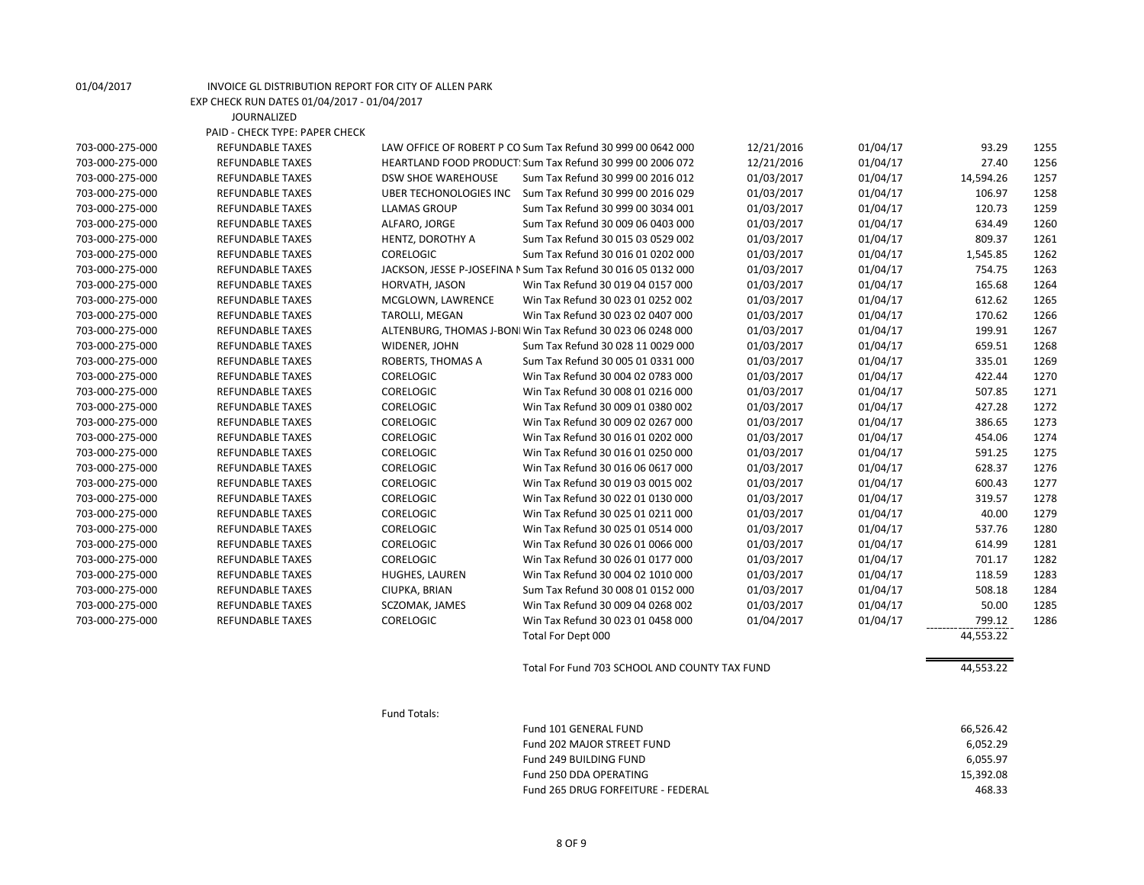|                 | <b>JOURNALIZED</b>             |                           |                                                               |            |          |           |      |
|-----------------|--------------------------------|---------------------------|---------------------------------------------------------------|------------|----------|-----------|------|
|                 | PAID - CHECK TYPE: PAPER CHECK |                           |                                                               |            |          |           |      |
| 703-000-275-000 | <b>REFUNDABLE TAXES</b>        |                           | LAW OFFICE OF ROBERT P CO Sum Tax Refund 30 999 00 0642 000   | 12/21/2016 | 01/04/17 | 93.29     | 1255 |
| 703-000-275-000 | <b>REFUNDABLE TAXES</b>        |                           | HEARTLAND FOOD PRODUCT: Sum Tax Refund 30 999 00 2006 072     | 12/21/2016 | 01/04/17 | 27.40     | 1256 |
| 703-000-275-000 | <b>REFUNDABLE TAXES</b>        | <b>DSW SHOE WAREHOUSE</b> | Sum Tax Refund 30 999 00 2016 012                             | 01/03/2017 | 01/04/17 | 14,594.26 | 1257 |
| 703-000-275-000 | <b>REFUNDABLE TAXES</b>        |                           | UBER TECHONOLOGIES INC Sum Tax Refund 30 999 00 2016 029      | 01/03/2017 | 01/04/17 | 106.97    | 1258 |
| 703-000-275-000 | <b>REFUNDABLE TAXES</b>        | <b>LLAMAS GROUP</b>       | Sum Tax Refund 30 999 00 3034 001                             | 01/03/2017 | 01/04/17 | 120.73    | 1259 |
| 703-000-275-000 | <b>REFUNDABLE TAXES</b>        | ALFARO, JORGE             | Sum Tax Refund 30 009 06 0403 000                             | 01/03/2017 | 01/04/17 | 634.49    | 1260 |
| 703-000-275-000 | <b>REFUNDABLE TAXES</b>        | HENTZ, DOROTHY A          | Sum Tax Refund 30 015 03 0529 002                             | 01/03/2017 | 01/04/17 | 809.37    | 1261 |
| 703-000-275-000 | <b>REFUNDABLE TAXES</b>        | <b>CORELOGIC</b>          | Sum Tax Refund 30 016 01 0202 000                             | 01/03/2017 | 01/04/17 | 1,545.85  | 1262 |
| 703-000-275-000 | <b>REFUNDABLE TAXES</b>        |                           | JACKSON, JESSE P-JOSEFINA N Sum Tax Refund 30 016 05 0132 000 | 01/03/2017 | 01/04/17 | 754.75    | 1263 |
| 703-000-275-000 | <b>REFUNDABLE TAXES</b>        | HORVATH, JASON            | Win Tax Refund 30 019 04 0157 000                             | 01/03/2017 | 01/04/17 | 165.68    | 1264 |
| 703-000-275-000 | <b>REFUNDABLE TAXES</b>        | MCGLOWN, LAWRENCE         | Win Tax Refund 30 023 01 0252 002                             | 01/03/2017 | 01/04/17 | 612.62    | 1265 |
| 703-000-275-000 | <b>REFUNDABLE TAXES</b>        | TAROLLI, MEGAN            | Win Tax Refund 30 023 02 0407 000                             | 01/03/2017 | 01/04/17 | 170.62    | 1266 |
| 703-000-275-000 | <b>REFUNDABLE TAXES</b>        |                           | ALTENBURG, THOMAS J-BONI Win Tax Refund 30 023 06 0248 000    | 01/03/2017 | 01/04/17 | 199.91    | 1267 |
| 703-000-275-000 | <b>REFUNDABLE TAXES</b>        | WIDENER, JOHN             | Sum Tax Refund 30 028 11 0029 000                             | 01/03/2017 | 01/04/17 | 659.51    | 1268 |
| 703-000-275-000 | <b>REFUNDABLE TAXES</b>        | ROBERTS, THOMAS A         | Sum Tax Refund 30 005 01 0331 000                             | 01/03/2017 | 01/04/17 | 335.01    | 1269 |
| 703-000-275-000 | <b>REFUNDABLE TAXES</b>        | <b>CORELOGIC</b>          | Win Tax Refund 30 004 02 0783 000                             | 01/03/2017 | 01/04/17 | 422.44    | 1270 |
| 703-000-275-000 | <b>REFUNDABLE TAXES</b>        | <b>CORELOGIC</b>          | Win Tax Refund 30 008 01 0216 000                             | 01/03/2017 | 01/04/17 | 507.85    | 1271 |
| 703-000-275-000 | <b>REFUNDABLE TAXES</b>        | <b>CORELOGIC</b>          | Win Tax Refund 30 009 01 0380 002                             | 01/03/2017 | 01/04/17 | 427.28    | 1272 |
| 703-000-275-000 | <b>REFUNDABLE TAXES</b>        | <b>CORELOGIC</b>          | Win Tax Refund 30 009 02 0267 000                             | 01/03/2017 | 01/04/17 | 386.65    | 1273 |
| 703-000-275-000 | <b>REFUNDABLE TAXES</b>        | <b>CORELOGIC</b>          | Win Tax Refund 30 016 01 0202 000                             | 01/03/2017 | 01/04/17 | 454.06    | 1274 |
| 703-000-275-000 | <b>REFUNDABLE TAXES</b>        | <b>CORELOGIC</b>          | Win Tax Refund 30 016 01 0250 000                             | 01/03/2017 | 01/04/17 | 591.25    | 1275 |
| 703-000-275-000 | <b>REFUNDABLE TAXES</b>        | <b>CORELOGIC</b>          | Win Tax Refund 30 016 06 0617 000                             | 01/03/2017 | 01/04/17 | 628.37    | 1276 |
| 703-000-275-000 | <b>REFUNDABLE TAXES</b>        | <b>CORELOGIC</b>          | Win Tax Refund 30 019 03 0015 002                             | 01/03/2017 | 01/04/17 | 600.43    | 1277 |
| 703-000-275-000 | <b>REFUNDABLE TAXES</b>        | <b>CORELOGIC</b>          | Win Tax Refund 30 022 01 0130 000                             | 01/03/2017 | 01/04/17 | 319.57    | 1278 |
| 703-000-275-000 | <b>REFUNDABLE TAXES</b>        | <b>CORELOGIC</b>          | Win Tax Refund 30 025 01 0211 000                             | 01/03/2017 | 01/04/17 | 40.00     | 1279 |
| 703-000-275-000 | <b>REFUNDABLE TAXES</b>        | <b>CORELOGIC</b>          | Win Tax Refund 30 025 01 0514 000                             | 01/03/2017 | 01/04/17 | 537.76    | 1280 |
| 703-000-275-000 | <b>REFUNDABLE TAXES</b>        | <b>CORELOGIC</b>          | Win Tax Refund 30 026 01 0066 000                             | 01/03/2017 | 01/04/17 | 614.99    | 1281 |
| 703-000-275-000 | <b>REFUNDABLE TAXES</b>        | <b>CORELOGIC</b>          | Win Tax Refund 30 026 01 0177 000                             | 01/03/2017 | 01/04/17 | 701.17    | 1282 |
| 703-000-275-000 | <b>REFUNDABLE TAXES</b>        | HUGHES, LAUREN            | Win Tax Refund 30 004 02 1010 000                             | 01/03/2017 | 01/04/17 | 118.59    | 1283 |
| 703-000-275-000 | <b>REFUNDABLE TAXES</b>        | CIUPKA, BRIAN             | Sum Tax Refund 30 008 01 0152 000                             | 01/03/2017 | 01/04/17 | 508.18    | 1284 |
| 703-000-275-000 | <b>REFUNDABLE TAXES</b>        | SCZOMAK, JAMES            | Win Tax Refund 30 009 04 0268 002                             | 01/03/2017 | 01/04/17 | 50.00     | 1285 |
| 703-000-275-000 | <b>REFUNDABLE TAXES</b>        | <b>CORELOGIC</b>          | Win Tax Refund 30 023 01 0458 000                             | 01/04/2017 | 01/04/17 | 799.12    | 1286 |
|                 |                                |                           | Total For Dept 000                                            |            |          | 44,553.22 |      |

Total For Fund 703 SCHOOL AND COUNTY TAX FUND 44,553.22

Fund Totals:

01/04/2017 INVOICE GL DISTRIBUTION REPORT FOR CITY OF ALLEN PARK EXP CHECK RUN DATES 01/04/2017 - 01/04/2017

| Fund 101 GENERAL FUND              | 66.526.42 |
|------------------------------------|-----------|
| Fund 202 MAJOR STREET FUND         | 6.052.29  |
| Fund 249 BUILDING FUND             | 6.055.97  |
| Fund 250 DDA OPERATING             | 15.392.08 |
| Fund 265 DRUG FORFEITURE - FEDERAL | 468.33    |